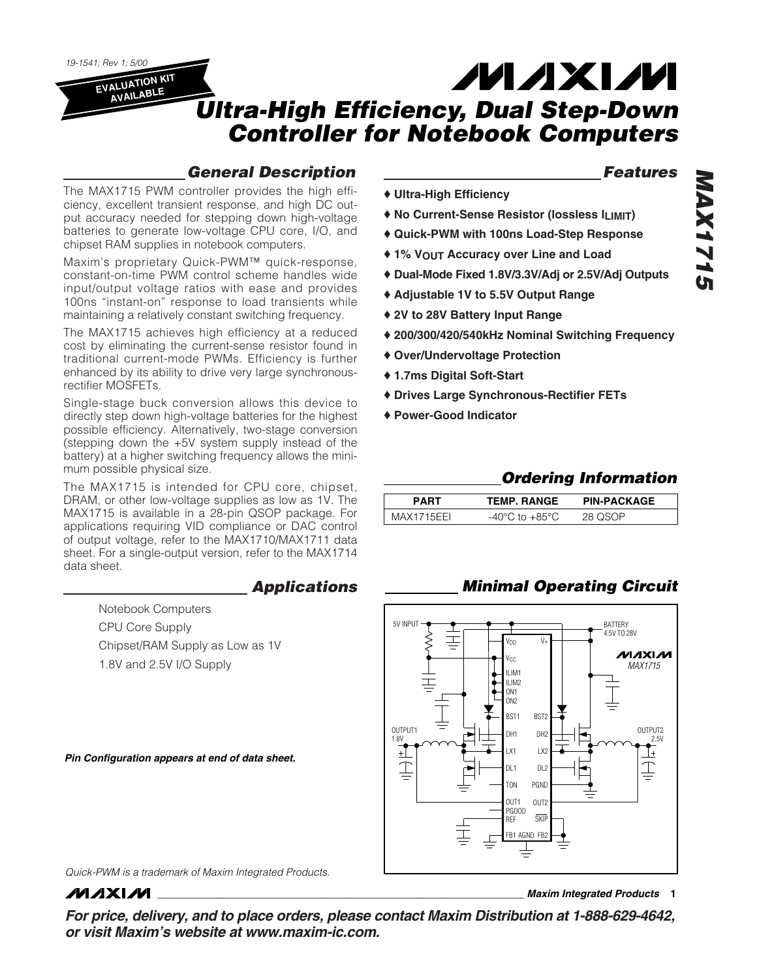*19-1541; Rev 1; 5/00*

**EVALUATION KIT AVAILABLE**

# **MAXM** *Ultra-High Efficiency, Dual Step-Down Controller for Notebook Computers*

♦ **Ultra-High Efficiency**

### *General Description*

The MAX1715 PWM controller provides the high efficiency, excellent transient response, and high DC output accuracy needed for stepping down high-voltage batteries to generate low-voltage CPU core, I/O, and chipset RAM supplies in notebook computers.

Maxim's proprietary Quick-PWM™ quick-response, constant-on-time PWM control scheme handles wide input/output voltage ratios with ease and provides 100ns "instant-on" response to load transients while maintaining a relatively constant switching frequency.

The MAX1715 achieves high efficiency at a reduced cost by eliminating the current-sense resistor found in traditional current-mode PWMs. Efficiency is further enhanced by its ability to drive very large synchronousrectifier MOSFETs.

Single-stage buck conversion allows this device to directly step down high-voltage batteries for the highest possible efficiency. Alternatively, two-stage conversion (stepping down the +5V system supply instead of the battery) at a higher switching frequency allows the minimum possible physical size.

The MAX1715 is intended for CPU core, chipset, DRAM, or other low-voltage supplies as low as 1V. The MAX1715 is available in a 28-pin QSOP package. For applications requiring VID compliance or DAC control of output voltage, refer to the MAX1710/MAX1711 data sheet. For a single-output version, refer to the MAX1714 data sheet.

### *Applications*

Notebook Computers CPU Core Supply Chipset/RAM Supply as Low as 1V 1.8V and 2.5V I/O Supply

*Pin Configuration appears at end of data sheet.*

# *Features*

- ♦ **No Current-Sense Resistor (lossless ILIMIT)**
- ♦ **Quick-PWM with 100ns Load-Step Response**
- ♦ **1% VOUT Accuracy over Line and Load**
- ♦ **Dual-Mode Fixed 1.8V/3.3V/Adj or 2.5V/Adj Outputs**
- ♦ **Adjustable 1V to 5.5V Output Range**
- ♦ **2V to 28V Battery Input Range**
- ♦ **200/300/420/540kHz Nominal Switching Frequency**
- ♦ **Over/Undervoltage Protection**
- ♦ **1.7ms Digital Soft-Start**
- ♦ **Drives Large Synchronous-Rectifier FETs**
- ♦ **Power-Good Indicator**

### *Ordering Information*

| PART       | <b>TEMP. RANGE</b> | <b>PIN-PACKAGE</b> |
|------------|--------------------|--------------------|
| MAX1715FFL | to $+85^{\circ}$ C | 28 UCUD            |

### *Minimal Operating Circuit*



*Quick-PWM is a trademark of Maxim Integrated Products.*

**MAXIM** 

**\_\_\_\_\_\_\_\_\_\_\_\_\_\_\_\_\_\_\_\_\_\_\_\_\_\_\_\_\_\_\_\_\_\_\_\_\_\_\_\_\_\_\_\_\_\_\_\_\_\_\_\_\_\_\_\_\_\_\_\_\_\_\_\_** *Maxim Integrated Products* **1**

*For price, delivery, and to place orders, please contact Maxim Distribution at 1-888-629-4642, or visit Maxim's website at www.maxim-ic.com.*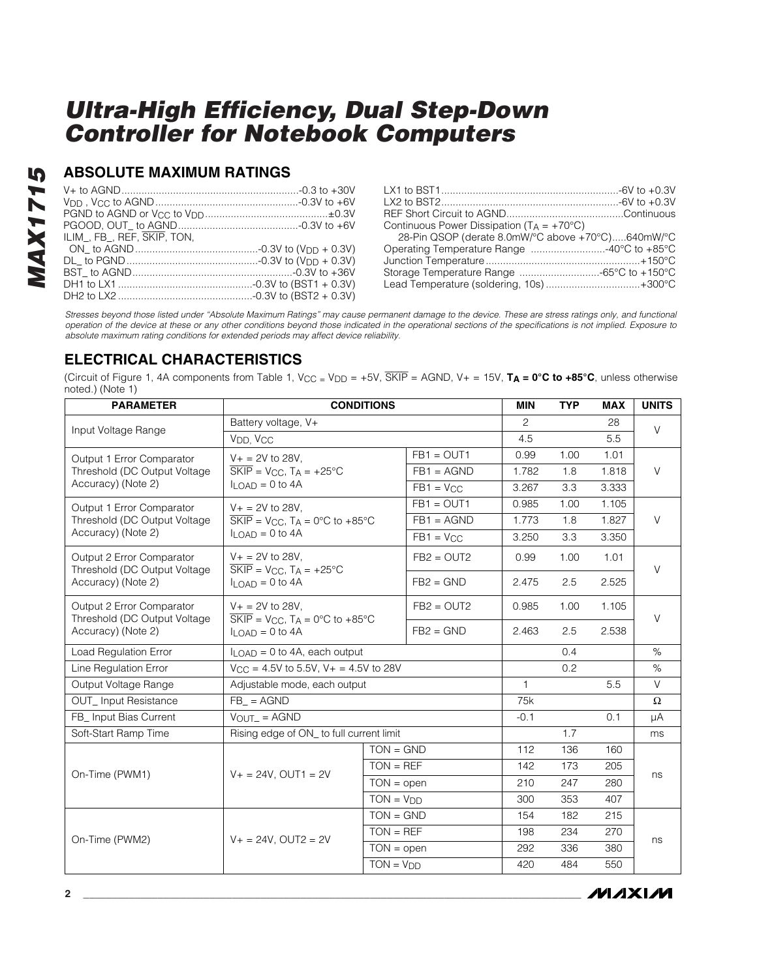### **ABSOLUTE MAXIMUM RATINGS**

| ILIM FB REF. SKIP TON. |  |
|------------------------|--|
|                        |  |
|                        |  |
|                        |  |
|                        |  |
|                        |  |

| Continuous Power Dissipation ( $T_A = +70^{\circ}C$ ) |  |
|-------------------------------------------------------|--|
| 28-Pin QSOP (derate 8.0mW/°C above +70°C)640mW/°C     |  |
| Operating Temperature Range 40°C to +85°C             |  |
|                                                       |  |
| Storage Temperature Range -65°C to +150°C             |  |
| Lead Temperature (soldering, 10s) +300°C              |  |
|                                                       |  |

*Stresses beyond those listed under "Absolute Maximum Ratings" may cause permanent damage to the device. These are stress ratings only, and functional operation of the device at these or any other conditions beyond those indicated in the operational sections of the specifications is not implied. Exposure to absolute maximum rating conditions for extended periods may affect device reliability.*

### **ELECTRICAL CHARACTERISTICS**

(Circuit of Figure 1, 4A components from Table 1,  $V_{CC} = V_{DD} = +5V$ ,  $\overline{SKIP} = AGND$ ,  $V_+ = 15V$ ,  $T_A = 0^\circ \text{C}$  to  $+85^\circ \text{C}$ , unless otherwise noted.) (Note 1)

| <b>PARAMETER</b>                                          |                                                                                                                              | <b>CONDITIONS</b>                          |                | <b>MIN</b> | <b>TYP</b> | <b>MAX</b> | <b>UNITS</b> |  |
|-----------------------------------------------------------|------------------------------------------------------------------------------------------------------------------------------|--------------------------------------------|----------------|------------|------------|------------|--------------|--|
| Input Voltage Range                                       | Battery voltage, V+                                                                                                          |                                            |                | 2          |            | 28         | $\vee$       |  |
|                                                           | V <sub>DD</sub> , V <sub>CC</sub>                                                                                            |                                            |                | 4.5        |            | 5.5        |              |  |
| Output 1 Error Comparator                                 | $V + 2V$ to 28V,                                                                                                             |                                            | $FB1 = OUT1$   | 0.99       | 1.00       | 1.01       |              |  |
| Threshold (DC Output Voltage                              | $\overline{\text{SKIP}}$ = V <sub>CC</sub> , T <sub>A</sub> = +25°C                                                          |                                            | $FB1 = AGND$   | 1.782      | 1.8        | 1.818      | $\vee$       |  |
| Accuracy) (Note 2)                                        | $I_{LOAD} = 0$ to 4A                                                                                                         |                                            | $FB1 = VCC$    | 3.267      | 3.3        | 3.333      |              |  |
| Output 1 Error Comparator                                 | $V_+ = 2V$ to 28V.                                                                                                           |                                            | $FB1 = OUT1$   | 0.985      | 1.00       | 1.105      |              |  |
| Threshold (DC Output Voltage                              | $\overline{\text{SKIP}}$ = V <sub>CC</sub> , T <sub>A</sub> = 0°C to +85°C                                                   |                                            | $FB1 = AGND$   | 1.773      | 1.8        | 1.827      | $\vee$       |  |
| Accuracy) (Note 2)                                        | $I_{LOAD} = 0$ to 4A                                                                                                         |                                            | $FB1 = V_{CC}$ | 3.250      | 3.3        | 3.350      |              |  |
| Output 2 Error Comparator<br>Threshold (DC Output Voltage | $V_+ = 2V$ to 28V.<br>$\overline{\text{SKIP}}$ = V <sub>CC</sub> , T <sub>A</sub> = +25°C                                    |                                            | $FB2 = OUT2$   | 0.99       | 1.00       | 1.01       | $\vee$       |  |
| Accuracy) (Note 2)                                        | $II$ $\cap$ AD = 0 to 4A                                                                                                     |                                            | $FB2 = GND$    | 2.475      | 2.5        | 2.525      |              |  |
| Output 2 Error Comparator<br>Threshold (DC Output Voltage | $V + = 2V$ to 28V,<br>$\overline{\text{SKIP}}$ = V <sub>CC</sub> , T <sub>A</sub> = 0°C to +85°C<br>$II$ $\cap$ AD = 0 to 4A |                                            | $FB2 = OUT2$   | 0.985      | 1.00       | 1.105      | $\vee$       |  |
| Accuracy) (Note 2)                                        |                                                                                                                              |                                            | $FB2 = GND$    | 2.463      | 2.5        | 2.538      |              |  |
| Load Regulation Error                                     | $II$ $OAD = 0$ to 4A, each output                                                                                            |                                            |                |            | 0.4        |            | $\%$         |  |
| Line Regulation Error                                     |                                                                                                                              | $V_{CC} = 4.5V$ to 5.5V, V + = 4.5V to 28V |                |            | 0.2        |            | $\%$         |  |
| Output Voltage Range                                      | Adjustable mode, each output                                                                                                 |                                            |                | 1          |            | 5.5        | $\vee$       |  |
| <b>OUT_Input Resistance</b>                               | $FB_$ = AGND                                                                                                                 |                                            |                | 75k        |            |            | $\Omega$     |  |
| FB_ Input Bias Current                                    | $V$ OUT = AGND                                                                                                               |                                            |                | $-0.1$     |            | 0.1        | μA           |  |
| Soft-Start Ramp Time                                      | Rising edge of ON_ to full current limit                                                                                     |                                            |                |            | 1.7        |            | ms           |  |
|                                                           |                                                                                                                              | $TON = GND$                                |                | 112        | 136        | 160        |              |  |
| On-Time (PWM1)                                            | $V_+ = 24V$ . OUT1 = 2V                                                                                                      | $TON = REF$                                |                | 142        | 173        | 205        | ns           |  |
|                                                           |                                                                                                                              | $TON = open$                               |                | 210        | 247        | 280        |              |  |
|                                                           |                                                                                                                              | $TON = VDD$                                |                | 300        | 353        | 407        |              |  |
|                                                           |                                                                                                                              | $TON = GND$                                |                | 154        | 182        | 215        |              |  |
| On-Time (PWM2)                                            | $V_+ = 24V$ . OUT2 = 2V                                                                                                      | $TON = REF$                                |                | 198        | 234        | 270        |              |  |
|                                                           |                                                                                                                              | $TON = open$                               |                | 292        | 336        | 380        | ns           |  |
|                                                           |                                                                                                                              | $TON = VDD$                                |                | 420        | 484        | 550        |              |  |

*MAX1715*

MAX1715

**MAXM**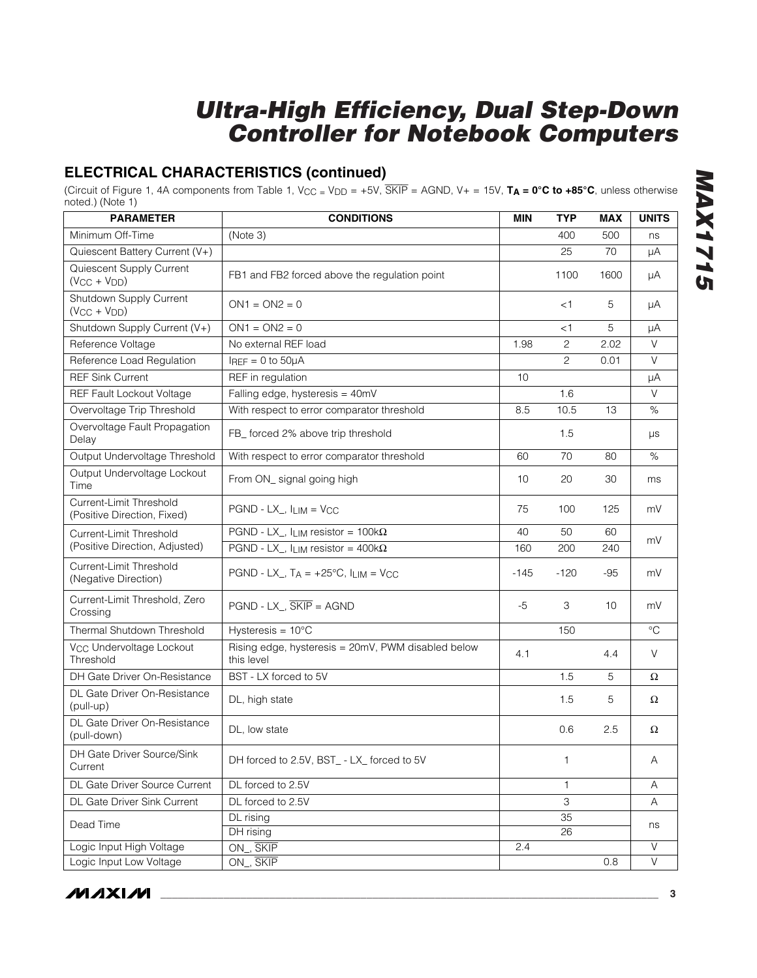### **ELECTRICAL CHARACTERISTICS (continued)**

(Circuit of Figure 1, 4A components from Table 1,  $V_{CC} = V_{DD} = +5V$ ,  $\overline{SKIP} = AGND$ ,  $V_+ = 15V$ ,  $T_A = 0^\circ \text{C}$  to  $+85^\circ \text{C}$ , unless otherwise noted.) (Note 1)

| <b>PARAMETER</b>                                       | <b>CONDITIONS</b>                                                | MIN    | <b>TYP</b>     | MAX  | <b>UNITS</b>      |  |
|--------------------------------------------------------|------------------------------------------------------------------|--------|----------------|------|-------------------|--|
| Minimum Off-Time                                       | (Note 3)                                                         |        | 400            | 500  | ns                |  |
| Quiescent Battery Current (V+)                         |                                                                  |        | 25             | 70   | μA                |  |
| Quiescent Supply Current<br>$(V_{CC} + V_{DD})$        | FB1 and FB2 forced above the regulation point                    |        | 1100           | 1600 | μA                |  |
| Shutdown Supply Current<br>$(V_{CC} + V_{DD})$         | $ON1 = ON2 = 0$                                                  |        | $<$ 1          | 5    | μA                |  |
| Shutdown Supply Current (V+)                           | $ON1 = ON2 = 0$                                                  |        | $<$ 1          | 5    | μA                |  |
| Reference Voltage                                      | No external REF load                                             | 1.98   | $\overline{c}$ | 2.02 | V                 |  |
| Reference Load Regulation                              | $I_{REF} = 0$ to $50\mu A$                                       |        | $\overline{c}$ | 0.01 | $\vee$            |  |
| <b>REF Sink Current</b>                                | REF in regulation                                                | 10     |                |      | μA                |  |
| REF Fault Lockout Voltage                              | Falling edge, hysteresis = 40mV                                  |        | 1.6            |      | $\vee$            |  |
| Overvoltage Trip Threshold                             | With respect to error comparator threshold                       | 8.5    | 10.5           | 13   | $\%$              |  |
| Overvoltage Fault Propagation<br>Delay                 | FB_ forced 2% above trip threshold                               |        | 1.5            |      | μs                |  |
| Output Undervoltage Threshold                          | With respect to error comparator threshold                       | 60     | 70             | 80   | $\%$              |  |
| Output Undervoltage Lockout<br>Time                    | From ON_ signal going high                                       | 10     | 20             | 30   | ms                |  |
| Current-Limit Threshold<br>(Positive Direction, Fixed) | $PGND - LX_$ , $I_{LIM} = VCC$                                   | 75     | 100            | 125  | mV                |  |
| Current-Limit Threshold                                | PGND - LX_, ILIM resistor = $100k\Omega$                         | 40     | 50             | 60   |                   |  |
| (Positive Direction, Adjusted)                         | PGND - LX_, $I_{LIM}$ resistor = 400k $\Omega$                   | 160    | 200            | 240  | mV                |  |
| Current-Limit Threshold<br>(Negative Direction)        | PGND - LX_, $T_A = +25^{\circ}C$ , $I_{LIM} = V_{CC}$            | $-145$ | $-120$         | -95  | mV                |  |
| Current-Limit Threshold, Zero<br>Crossing              | $PGND - LX_$ , $\overline{SKIP} = AGND$                          | $-5$   | 3              | 10   | mV                |  |
| Thermal Shutdown Threshold                             | Hysteresis = $10^{\circ}$ C                                      |        | 150            |      | $\rm ^{\circ}C$   |  |
| V <sub>CC</sub> Undervoltage Lockout<br>Threshold      | Rising edge, hysteresis = 20mV, PWM disabled below<br>this level | 4.1    |                | 4.4  | V                 |  |
| DH Gate Driver On-Resistance                           | BST - LX forced to 5V                                            |        | 1.5            | 5    | Ω                 |  |
| DL Gate Driver On-Resistance<br>(pull-up)              | DL, high state                                                   |        | 1.5            | 5    | Ω                 |  |
| DL Gate Driver On-Resistance<br>(pull-down)            | DL, low state                                                    |        | 0.6            | 2.5  | Ω                 |  |
| DH Gate Driver Source/Sink<br>Current                  | DH forced to 2.5V, BST_ - LX_ forced to 5V                       |        | 1.             |      | Α                 |  |
| DL Gate Driver Source Current                          | DL forced to 2.5V                                                |        | $\mathbf{1}$   |      | Α                 |  |
| DL Gate Driver Sink Current                            | DL forced to 2.5V                                                |        | 3              |      | Α                 |  |
| Dead Time                                              | DL rising                                                        |        | 35             |      |                   |  |
|                                                        | DH rising                                                        | 26     |                | ns   |                   |  |
| Logic Input High Voltage                               | ON_, SKIP                                                        | 2.4    |                |      | $\vee$            |  |
| Logic Input Low Voltage                                | ON_, SKIP                                                        |        |                | 0.8  | $\overline{\vee}$ |  |

*MAX1715*

**MAX1715**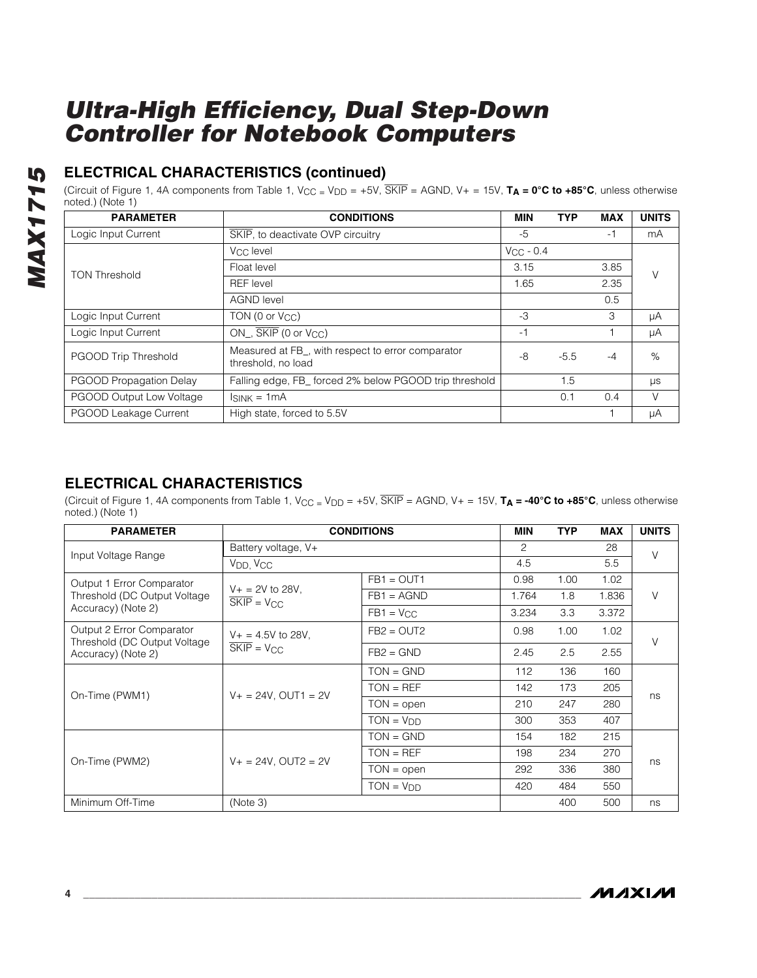# MAX1715 *MAX1715*

### **ELECTRICAL CHARACTERISTICS (continued)**

(Circuit of Figure 1, 4A components from Table 1, VCC = VDD = +5V, SKIP = AGND, V+ = 15V, **TA = 0°C to +85°C**, unless otherwise noted.) (Note 1)

| <b>PARAMETER</b>         | <b>CONDITIONS</b>                                                                    | <b>MIN</b>     | <b>TYP</b> | <b>MAX</b> | <b>UNITS</b> |
|--------------------------|--------------------------------------------------------------------------------------|----------------|------------|------------|--------------|
| Logic Input Current      | SKIP, to deactivate OVP circuitry                                                    | -5             |            | $-1$       | mA           |
|                          | Vcc level                                                                            | $V_{CC}$ - 0.4 |            |            |              |
| <b>TON Threshold</b>     | Float level                                                                          | 3.15           |            | 3.85       | V            |
|                          | <b>REF</b> level                                                                     | 1.65           |            | 2.35       |              |
|                          | <b>AGND level</b>                                                                    |                |            | 0.5        |              |
| Logic Input Current      | TON(0 or V <sub>CC</sub> )                                                           | -3             |            | 3          | μA           |
| Logic Input Current      | $ON$ , $\overline{SKIP}$ (0 or $V_{CC}$ )                                            | -1             |            |            | μA           |
| PGOOD Trip Threshold     | Measured at FB <sub>_</sub> , with respect to error comparator<br>threshold, no load |                | $-5.5$     | $-4$       | %            |
| PGOOD Propagation Delay  | Falling edge, FB forced 2% below PGOOD trip threshold                                |                | 1.5        |            | $\mu s$      |
| PGOOD Output Low Voltage | $\sink = 1mA$                                                                        |                | 0.1        | 0.4        | V            |
| PGOOD Leakage Current    | High state, forced to 5.5V                                                           |                |            |            | μA           |

### **ELECTRICAL CHARACTERISTICS**

(Circuit of Figure 1, 4A components from Table 1, V<sub>CC</sub> = V<sub>DD</sub> = +5V,  $\overline{\text{SKIP}}$  = AGND, V+ = 15V, **T<sub>A</sub> = -40°C to +85°C**, unless otherwise noted.) (Note 1)

| <b>PARAMETER</b>                                           |                                                                                      | <b>CONDITIONS</b> | <b>MIN</b> | <b>TYP</b> | <b>MAX</b> | <b>UNITS</b> |
|------------------------------------------------------------|--------------------------------------------------------------------------------------|-------------------|------------|------------|------------|--------------|
| Input Voltage Range                                        | Battery voltage, V+                                                                  |                   |            |            | 28         | $\vee$       |
|                                                            | V <sub>DD</sub> , V <sub>CC</sub>                                                    |                   | 4.5        |            | 5.5        |              |
| Output 1 Error Comparator                                  |                                                                                      | $FB1 = OUT1$      | 0.98       | 1.00       | 1.02       |              |
| Threshold (DC Output Voltage)                              | $V_+ = 2V$ to 28V,<br>$SKIP = V_{CC}$                                                | $FB1 = AGND$      | 1.764      | 1.8        | 1.836      | V            |
| Accuracy) (Note 2)                                         |                                                                                      | $FB1 = VCC$       | 3.234      | 3.3        | 3.372      |              |
| Output 2 Error Comparator<br>Threshold (DC Output Voltage) | $V_+ = 4.5V$ to 28V,                                                                 | $FB2 = OUT2$      | 0.98       | 1.00       | 1.02       | $\vee$       |
| Accuracy) (Note 2)                                         | $SKIP = V_{CC}$                                                                      | $FB2 = GND$       | 2.45       | 2.5        | 2.55       |              |
|                                                            | $V_+ = 24V$ . OUT1 = 2V                                                              | $TON = GND$       | 112        | 136        | 160        | ns           |
| On-Time (PWM1)                                             |                                                                                      | $TON = REF$       | 142        | 173        | 205        |              |
|                                                            |                                                                                      | $TON = open$      | 210        | 247        | 280        |              |
|                                                            |                                                                                      | $TON = VDD$       | 300        | 353        | 407        |              |
|                                                            | $TON = GND$<br>$TON = REF$<br>$V_+ = 24V$ , OUT2 = 2V<br>$TON = open$<br>$TON = VDD$ |                   | 154        | 182        | 215        |              |
| On-Time (PWM2)                                             |                                                                                      |                   | 198        | 234        | 270        | ns           |
|                                                            |                                                                                      |                   | 292        | 336        | 380        |              |
|                                                            |                                                                                      |                   | 420        | 484        | 550        |              |
| Minimum Off-Time                                           | (Note 3)                                                                             |                   |            | 400        | 500        | ns           |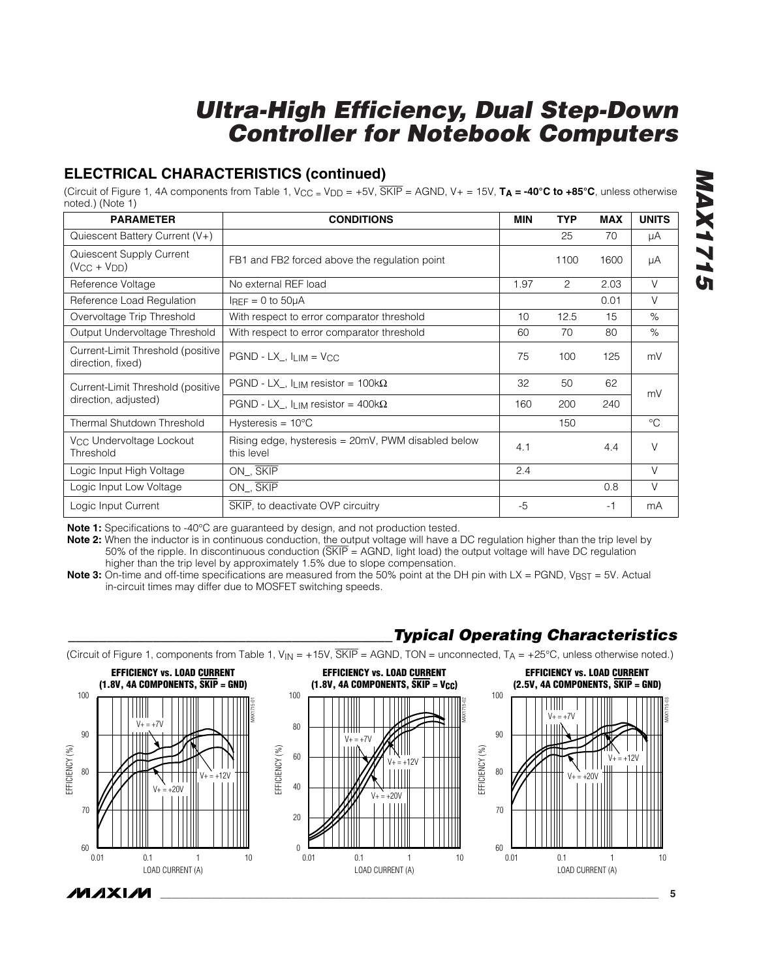### **ELECTRICAL CHARACTERISTICS (continued)**

(Circuit of Figure 1, 4A components from Table 1, V<sub>CC</sub> = V<sub>DD</sub> = +5V,  $\overline{\text{SKIP}}$  = AGND, V+ = 15V,  $\mathbf{T_A}$  = -40°C to +85°C, unless otherwise noted.) (Note 1)

| <b>PARAMETER</b>                                        | <b>CONDITIONS</b>                                                | <b>MIN</b> | <b>TYP</b> | <b>MAX</b> | <b>UNITS</b> |  |
|---------------------------------------------------------|------------------------------------------------------------------|------------|------------|------------|--------------|--|
| Quiescent Battery Current (V+)                          |                                                                  |            | 25         | 70         | μA           |  |
| Quiescent Supply Current<br>$(V_{CC} + V_{DD})$         | FB1 and FB2 forced above the regulation point                    |            | 1100       | 1600       | μA           |  |
| Reference Voltage                                       | No external REF load                                             | 1.97       | 2          | 2.03       | $\vee$       |  |
| Reference Load Regulation                               | $I_{REF} = 0$ to $50\mu A$                                       |            |            | 0.01       | $\vee$       |  |
| Overvoltage Trip Threshold                              | With respect to error comparator threshold                       | 10         | 12.5       | 15         | $\%$         |  |
| Output Undervoltage Threshold                           | With respect to error comparator threshold                       | 60         | 70         | 80         | $\%$         |  |
| Current-Limit Threshold (positive)<br>direction, fixed) | $PGND - LX_$ , $I_{LIM} = VCC$                                   |            | 100        | 125        | mV           |  |
| Current-Limit Threshold (positive                       | PGND - LX_, $I_{LIM}$ resistor = 100k $\Omega$                   | 32         | 50         | 62         | mV<br>240    |  |
| direction, adjusted)                                    | PGND - LX_, $I_{LIM}$ resistor = 400k $\Omega$                   | 160        | 200        |            |              |  |
| Thermal Shutdown Threshold                              | Hysteresis = $10^{\circ}$ C                                      |            | 150        |            | $^{\circ}C$  |  |
| V <sub>CC</sub> Undervoltage Lockout<br>Threshold       | Rising edge, hysteresis = 20mV, PWM disabled below<br>this level | 4.1        |            | 4.4        | $\vee$       |  |
| Logic Input High Voltage                                | ON, SKIP                                                         | 2.4        |            |            | $\vee$       |  |
| Logic Input Low Voltage                                 | ON, SKIP                                                         |            |            | 0.8        | $\vee$       |  |
| Logic Input Current                                     | SKIP, to deactivate OVP circuitry                                | $-5$       |            | -1         | mA           |  |

**Note 1:** Specifications to -40°C are guaranteed by design, and not production tested.

**Note 2:** When the inductor is in continuous conduction, the output voltage will have a DC regulation higher than the trip level by 50% of the ripple. In discontinuous conduction (SKIP = AGND, light load) the output voltage will have DC regulation higher than the trip level by approximately 1.5% due to slope compensation.

**Note 3:** On-time and off-time specifications are measured from the 50% point at the DH pin with LX = PGND, V<sub>BST</sub> = 5V. Actual in-circuit times may differ due to MOSFET switching speeds.



*\_\_\_\_\_\_\_\_\_\_\_\_\_\_\_\_\_\_\_\_\_\_\_\_\_\_\_\_\_\_\_\_\_\_\_\_\_\_\_\_\_\_Typical Operating Characteristics*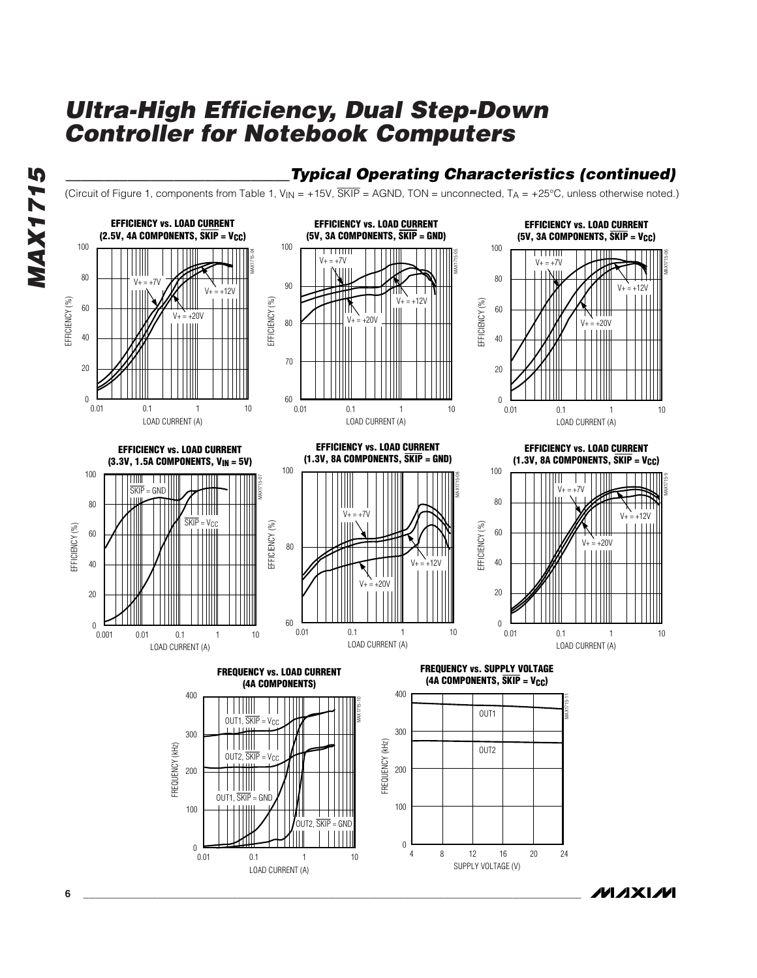



*\_\_\_\_\_\_\_\_\_\_\_\_\_\_\_\_\_\_\_\_\_\_\_\_\_\_\_\_\_Typical Operating Characteristics (continued)*

*IVI AXI IVI* 

**6 \_\_\_\_\_\_\_\_\_\_\_\_\_\_\_\_\_\_\_\_\_\_\_\_\_\_\_\_\_\_\_\_\_\_\_\_\_\_\_\_\_\_\_\_\_\_\_\_\_\_\_\_\_\_\_\_\_\_\_\_\_\_\_\_\_\_\_\_\_\_\_\_\_\_\_\_\_\_\_\_\_\_\_\_\_\_\_**

 $_{0.01}^{\circ}$ 

0.01 0.1 1 10

 $OUT2, \overline{SKIP} = GND$ 

0

SUPPLY VOLTAGE (V)

LOAD CURRENT (A)

*MAX1715*

**MAX1715**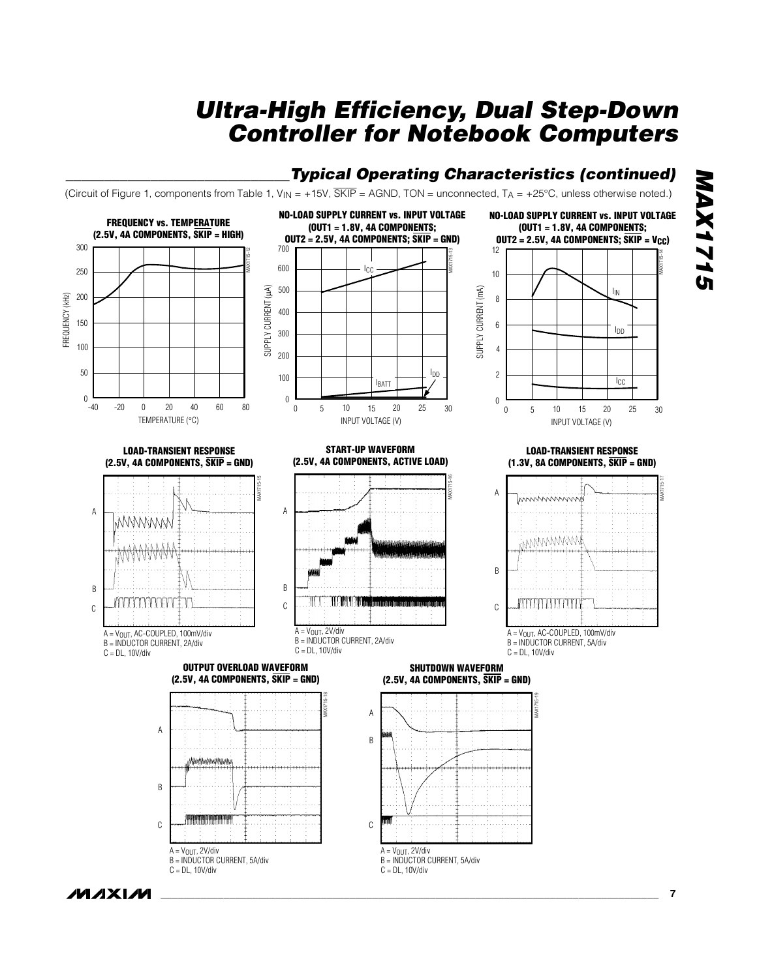**Typical Operating Characteristics (continued)** 



# **MAX1715** *MAX1715*

*IVI AXI IVI*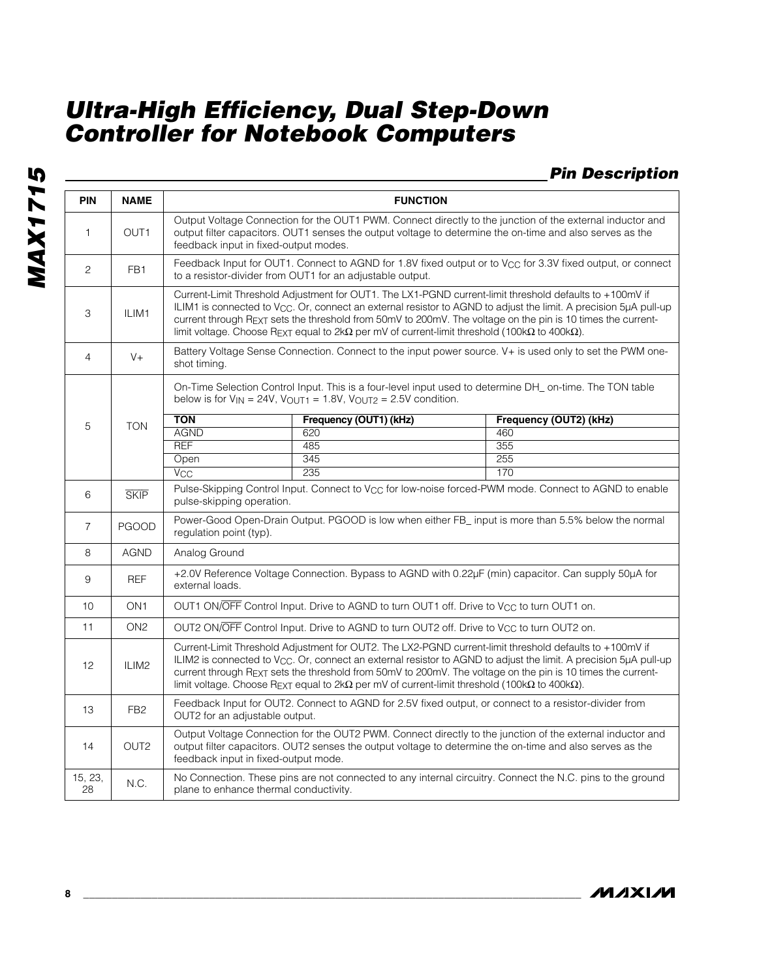### *Pin Description*

| PIN            | <b>NAME</b>      |                                                                                                                                                                                                                                                                                                                                                                                                                                                                                         |                                                                                                      | <b>FUNCTION</b>                                                                                                                                                                                                       |  |  |  |  |  |
|----------------|------------------|-----------------------------------------------------------------------------------------------------------------------------------------------------------------------------------------------------------------------------------------------------------------------------------------------------------------------------------------------------------------------------------------------------------------------------------------------------------------------------------------|------------------------------------------------------------------------------------------------------|-----------------------------------------------------------------------------------------------------------------------------------------------------------------------------------------------------------------------|--|--|--|--|--|
| 1              | OUT <sub>1</sub> | feedback input in fixed-output modes.                                                                                                                                                                                                                                                                                                                                                                                                                                                   |                                                                                                      | Output Voltage Connection for the OUT1 PWM. Connect directly to the junction of the external inductor and<br>output filter capacitors. OUT1 senses the output voltage to determine the on-time and also serves as the |  |  |  |  |  |
| 2              | FB <sub>1</sub>  |                                                                                                                                                                                                                                                                                                                                                                                                                                                                                         | to a resistor-divider from OUT1 for an adjustable output.                                            | Feedback Input for OUT1. Connect to AGND for 1.8V fixed output or to V <sub>CC</sub> for 3.3V fixed output, or connect                                                                                                |  |  |  |  |  |
| 3              | ILIM1            | Current-Limit Threshold Adjustment for OUT1. The LX1-PGND current-limit threshold defaults to +100mV if<br>ILIM1 is connected to V <sub>CC</sub> . Or, connect an external resistor to AGND to adjust the limit. A precision 5µA pull-up<br>current through REXT sets the threshold from 50mV to 200mV. The voltage on the pin is 10 times the current-<br>limit voltage. Choose REXT equal to 2k $\Omega$ per mV of current-limit threshold (100k $\Omega$ to 400k $\Omega$ ).         |                                                                                                      |                                                                                                                                                                                                                       |  |  |  |  |  |
| $\overline{4}$ | $V +$            | shot timing.                                                                                                                                                                                                                                                                                                                                                                                                                                                                            |                                                                                                      | Battery Voltage Sense Connection. Connect to the input power source. V+ is used only to set the PWM one-                                                                                                              |  |  |  |  |  |
|                |                  |                                                                                                                                                                                                                                                                                                                                                                                                                                                                                         | below is for $V_{IN} = 24V$ , $V_{OUT1} = 1.8V$ , $V_{OUT2} = 2.5V$ condition.                       | On-Time Selection Control Input. This is a four-level input used to determine DH_ on-time. The TON table                                                                                                              |  |  |  |  |  |
| 5              | <b>TON</b>       | <b>TON</b>                                                                                                                                                                                                                                                                                                                                                                                                                                                                              | Frequency (OUT1) (kHz)                                                                               | Frequency (OUT2) (kHz)                                                                                                                                                                                                |  |  |  |  |  |
|                |                  | <b>AGND</b>                                                                                                                                                                                                                                                                                                                                                                                                                                                                             | 620                                                                                                  | 460                                                                                                                                                                                                                   |  |  |  |  |  |
|                |                  | <b>REF</b><br>485<br>355                                                                                                                                                                                                                                                                                                                                                                                                                                                                |                                                                                                      |                                                                                                                                                                                                                       |  |  |  |  |  |
|                |                  | 255<br>Open<br>345                                                                                                                                                                                                                                                                                                                                                                                                                                                                      |                                                                                                      |                                                                                                                                                                                                                       |  |  |  |  |  |
|                |                  | $\overline{V_{CC}}$                                                                                                                                                                                                                                                                                                                                                                                                                                                                     | 235                                                                                                  | 170                                                                                                                                                                                                                   |  |  |  |  |  |
| 6              | <b>SKIP</b>      | Pulse-Skipping Control Input. Connect to V <sub>CC</sub> for low-noise forced-PWM mode. Connect to AGND to enable<br>pulse-skipping operation.                                                                                                                                                                                                                                                                                                                                          |                                                                                                      |                                                                                                                                                                                                                       |  |  |  |  |  |
| $\overline{7}$ | <b>PGOOD</b>     | regulation point (typ).                                                                                                                                                                                                                                                                                                                                                                                                                                                                 |                                                                                                      | Power-Good Open-Drain Output. PGOOD is low when either FB input is more than 5.5% below the normal                                                                                                                    |  |  |  |  |  |
| 8              | <b>AGND</b>      | Analog Ground                                                                                                                                                                                                                                                                                                                                                                                                                                                                           |                                                                                                      |                                                                                                                                                                                                                       |  |  |  |  |  |
| 9              | <b>REF</b>       | external loads.                                                                                                                                                                                                                                                                                                                                                                                                                                                                         |                                                                                                      | +2.0V Reference Voltage Connection. Bypass to AGND with 0.22µF (min) capacitor. Can supply 50µA for                                                                                                                   |  |  |  |  |  |
| 10             | ON <sub>1</sub>  |                                                                                                                                                                                                                                                                                                                                                                                                                                                                                         | OUT1 ON/OFF Control Input. Drive to AGND to turn OUT1 off. Drive to V <sub>CC</sub> to turn OUT1 on. |                                                                                                                                                                                                                       |  |  |  |  |  |
| 11             | ON <sub>2</sub>  |                                                                                                                                                                                                                                                                                                                                                                                                                                                                                         | OUT2 ON/OFF Control Input. Drive to AGND to turn OUT2 off. Drive to V <sub>CC</sub> to turn OUT2 on. |                                                                                                                                                                                                                       |  |  |  |  |  |
| 12             | ILIM2            | Current-Limit Threshold Adjustment for OUT2. The LX2-PGND current-limit threshold defaults to +100mV if<br>ILIM2 is connected to $V_{\rm CC}$ . Or, connect an external resistor to AGND to adjust the limit. A precision 5µA pull-up<br>current through R <sub>EXT</sub> sets the threshold from 50mV to 200mV. The voltage on the pin is 10 times the current-<br>limit voltage. Choose REXT equal to $2k\Omega$ per mV of current-limit threshold (100k $\Omega$ to 400k $\Omega$ ). |                                                                                                      |                                                                                                                                                                                                                       |  |  |  |  |  |
| 13             | FB <sub>2</sub>  | Feedback Input for OUT2. Connect to AGND for 2.5V fixed output, or connect to a resistor-divider from<br>OUT2 for an adjustable output.                                                                                                                                                                                                                                                                                                                                                 |                                                                                                      |                                                                                                                                                                                                                       |  |  |  |  |  |
| 14             | OUT <sub>2</sub> | feedback input in fixed-output mode.                                                                                                                                                                                                                                                                                                                                                                                                                                                    |                                                                                                      | Output Voltage Connection for the OUT2 PWM. Connect directly to the junction of the external inductor and<br>output filter capacitors. OUT2 senses the output voltage to determine the on-time and also serves as the |  |  |  |  |  |
| 15, 23,<br>28  | N.C.             | plane to enhance thermal conductivity.                                                                                                                                                                                                                                                                                                                                                                                                                                                  |                                                                                                      | No Connection. These pins are not connected to any internal circuitry. Connect the N.C. pins to the ground                                                                                                            |  |  |  |  |  |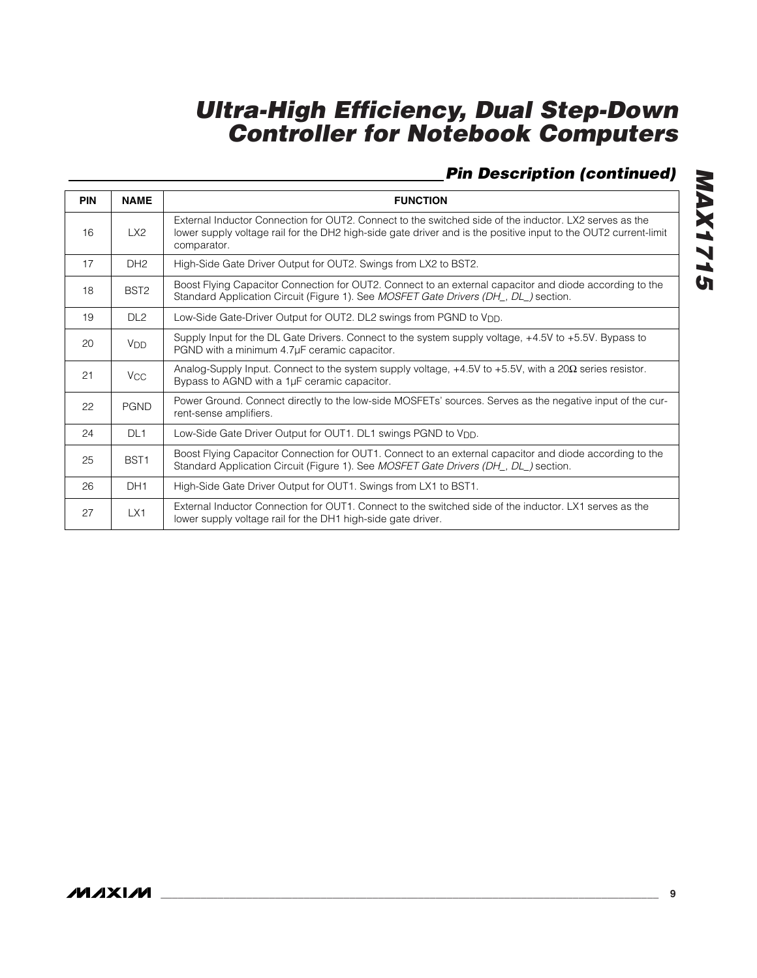### *Pin Description (continued)*

| <b>PIN</b> | <b>NAME</b>           | <b>FUNCTION</b>                                                                                                                                                                                                                          |
|------------|-----------------------|------------------------------------------------------------------------------------------------------------------------------------------------------------------------------------------------------------------------------------------|
| 16         | LX2                   | External Inductor Connection for OUT2. Connect to the switched side of the inductor. LX2 serves as the<br>lower supply voltage rail for the DH2 high-side gate driver and is the positive input to the OUT2 current-limit<br>comparator. |
| 17         | DH <sub>2</sub>       | High-Side Gate Driver Output for OUT2. Swings from LX2 to BST2.                                                                                                                                                                          |
| 18         | BST <sub>2</sub>      | Boost Flying Capacitor Connection for OUT2. Connect to an external capacitor and diode according to the<br>Standard Application Circuit (Figure 1). See MOSFET Gate Drivers (DH_, DL_) section.                                          |
| 19         | DL <sub>2</sub>       | Low-Side Gate-Driver Output for OUT2. DL2 swings from PGND to V <sub>DD</sub> .                                                                                                                                                          |
| 20         | <b>V<sub>DD</sub></b> | Supply Input for the DL Gate Drivers. Connect to the system supply voltage, +4.5V to +5.5V. Bypass to<br>PGND with a minimum 4.7µF ceramic capacitor.                                                                                    |
| 21         | <b>V<sub>CC</sub></b> | Analog-Supply Input. Connect to the system supply voltage, $+4.5V$ to $+5.5V$ , with a 20 $\Omega$ series resistor.<br>Bypass to AGND with a 1µF ceramic capacitor.                                                                      |
| 22         | <b>PGND</b>           | Power Ground. Connect directly to the low-side MOSFETs' sources. Serves as the negative input of the cur-<br>rent-sense amplifiers.                                                                                                      |
| 24         | DL <sub>1</sub>       | Low-Side Gate Driver Output for OUT1. DL1 swings PGND to V <sub>DD</sub> .                                                                                                                                                               |
| 25         | BST <sub>1</sub>      | Boost Flying Capacitor Connection for OUT1. Connect to an external capacitor and diode according to the<br>Standard Application Circuit (Figure 1). See MOSFET Gate Drivers (DH_, DL_) section.                                          |
| 26         | DH <sub>1</sub>       | High-Side Gate Driver Output for OUT1. Swings from LX1 to BST1.                                                                                                                                                                          |
| 27         | LX1                   | External Inductor Connection for OUT1. Connect to the switched side of the inductor. LX1 serves as the<br>lower supply voltage rail for the DH1 high-side gate driver.                                                                   |

**MAX1715** *MAX1715*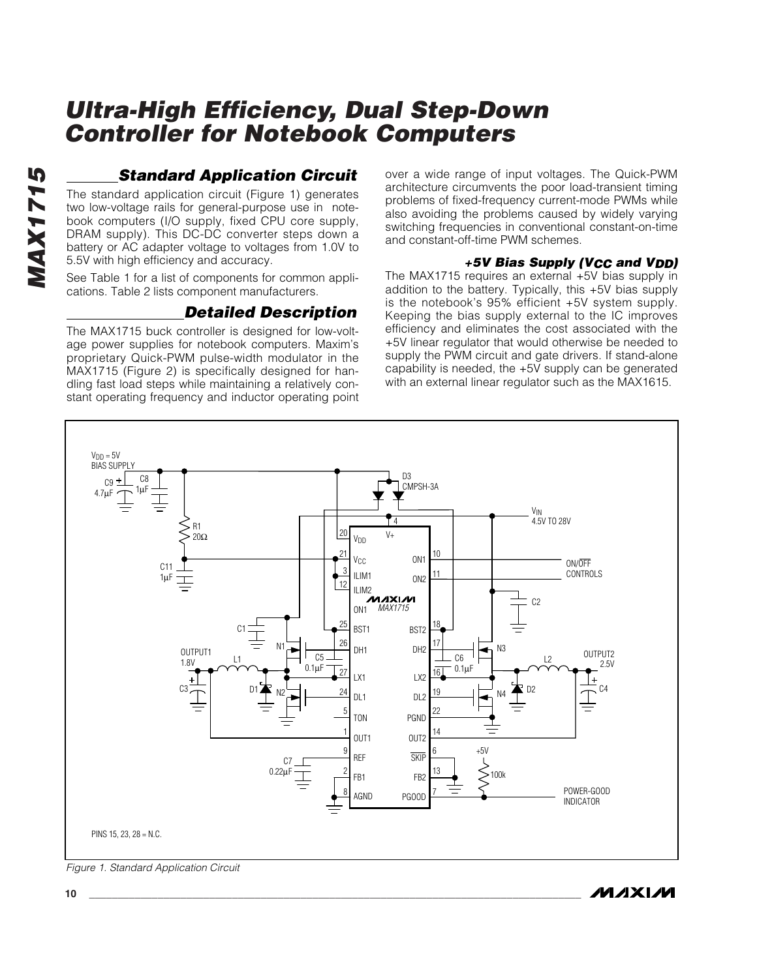### *Standard Application Circuit*

The standard application circuit (Figure 1) generates two low-voltage rails for general-purpose use in notebook computers (I/O supply, fixed CPU core supply, DRAM supply). This DC-DC converter steps down a battery or AC adapter voltage to voltages from 1.0V to 5.5V with high efficiency and accuracy.

See Table 1 for a list of components for common applications. Table 2 lists component manufacturers.

### *Detailed Description*

The MAX1715 buck controller is designed for low-voltage power supplies for notebook computers. Maxim's proprietary Quick-PWM pulse-width modulator in the MAX1715 (Figure 2) is specifically designed for handling fast load steps while maintaining a relatively constant operating frequency and inductor operating point over a wide range of input voltages. The Quick-PWM architecture circumvents the poor load-transient timing problems of fixed-frequency current-mode PWMs while also avoiding the problems caused by widely varying switching frequencies in conventional constant-on-time and constant-off-time PWM schemes.

#### *+5V Bias Supply (VCC and VDD)*

The MAX1715 requires an external +5V bias supply in addition to the battery. Typically, this +5V bias supply is the notebook's 95% efficient +5V system supply. Keeping the bias supply external to the IC improves efficiency and eliminates the cost associated with the +5V linear regulator that would otherwise be needed to supply the PWM circuit and gate drivers. If stand-alone capability is needed, the +5V supply can be generated with an external linear regulator such as the MAX1615.

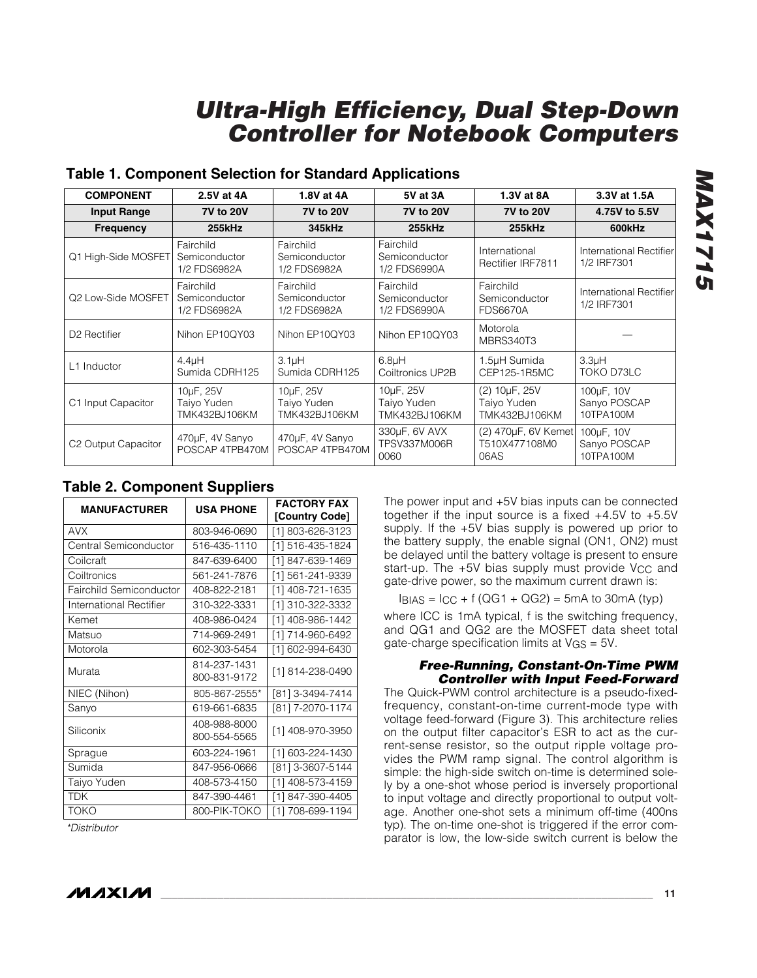| <b>COMPONENT</b>         | 2.5V at 4A                                 | 1.8V at 4A                                 | 5V at 3A                                               | 1.3V at 8A                                    | 3.3V at 1.5A                            |
|--------------------------|--------------------------------------------|--------------------------------------------|--------------------------------------------------------|-----------------------------------------------|-----------------------------------------|
| <b>Input Range</b>       | <b>7V to 20V</b>                           | <b>7V to 20V</b>                           | <b>7V to 20V</b>                                       | <b>7V to 20V</b>                              | 4.75V to 5.5V                           |
| <b>Frequency</b>         | 255kHz                                     | 345kHz                                     | <b>255kHz</b>                                          | <b>255kHz</b>                                 | 600kHz                                  |
| Q1 High-Side MOSFET      | Fairchild<br>Semiconductor<br>1/2 FDS6982A | Fairchild<br>Semiconductor<br>1/2 FDS6982A | Fairchild<br>Semiconductor<br>1/2 FDS6990A             | International<br>Rectifier IRF7811            | International Rectifier<br>1/2 IRF7301  |
| Q2 Low-Side MOSFET       | Fairchild<br>Semiconductor<br>1/2 FDS6982A | Fairchild<br>Semiconductor<br>1/2 FDS6982A | Fairchild<br>Semiconductor<br>1/2 FDS6990A             | Fairchild<br>Semiconductor<br><b>FDS6670A</b> | International Rectifier<br>1/2 IRF7301  |
| D <sub>2</sub> Rectifier | Nihon EP10QY03                             | Nihon EP10QY03                             | Nihon EP10QY03                                         | Motorola<br>MBRS340T3                         |                                         |
| L1 Inductor              | $4.4$ uH<br>Sumida CDRH125                 | 3.1 <sub>µ</sub> H<br>Sumida CDRH125       | 6.8 <sub>µ</sub> H<br>Coiltronics UP2B                 | 1.5µH Sumida<br>CEP125-1R5MC                  | 3.3 <sub>µ</sub> H<br>TOKO D73LC        |
| Input Capacitor<br>С1    | 10µF, 25V<br>Taiyo Yuden<br>TMK432BJ106KM  | 10uF, 25V<br>Taiyo Yuden<br>TMK432BJ106KM  | 10 <sub>u</sub> F, 25V<br>Taiyo Yuden<br>TMK432BJ106KM | (2) 10µF, 25V<br>Taiyo Yuden<br>TMK432BJ106KM | 100µF, 10V<br>Sanyo POSCAP<br>10TPA100M |
| C2 Output Capacitor      | 470µF, 4V Sanyo<br>POSCAP 4TPB470M         | 470µF, 4V Sanyo<br>POSCAP 4TPB470M         | 330µF, 6V AVX<br><b>TPSV337M006R</b><br>0060           | (2) 470µF, 6V Kemet<br>T510X477108M0<br>06AS  | 100µF, 10V<br>Sanyo POSCAP<br>10TPA100M |

### **Table 1. Component Selection for Standard Applications**

### **Table 2. Component Suppliers**

| <b>MANUFACTURER</b>     | <b>USA PHONE</b>             | <b>FACTORY FAX</b><br>[Country Code] |
|-------------------------|------------------------------|--------------------------------------|
| <b>AVX</b>              | 803-946-0690                 | [1] 803-626-3123                     |
| Central Semiconductor   | 516-435-1110                 | [1] 516-435-1824                     |
| Coilcraft               | 847-639-6400                 | [1] 847-639-1469                     |
| Coiltronics             | 561-241-7876                 | [1] 561-241-9339                     |
| Fairchild Semiconductor | 408-822-2181                 | [1] 408-721-1635                     |
| International Rectifier | 310-322-3331                 | [1] 310-322-3332                     |
| Kemet                   | 408-986-0424                 | [1] 408-986-1442                     |
| Matsuo                  | 714-969-2491                 | [1] 714-960-6492                     |
| Motorola                | 602-303-5454                 | [1] 602-994-6430                     |
| Murata                  | 814-237-1431<br>800-831-9172 | [1] 814-238-0490                     |
| NIEC (Nihon)            | 805-867-2555*                | [81] 3-3494-7414                     |
| Sanyo                   | 619-661-6835                 | [81] 7-2070-1174                     |
| Siliconix               | 408-988-8000<br>800-554-5565 | [1] 408-970-3950                     |
| Sprague                 | 603-224-1961                 | [1] 603-224-1430                     |
| Sumida                  | 847-956-0666                 | [81] 3-3607-5144                     |
| Taiyo Yuden             | 408-573-4150                 | [1] 408-573-4159                     |
| <b>TDK</b>              | 847-390-4461                 | [1] 847-390-4405                     |
| <b>TOKO</b>             | 800-PIK-TOKO                 | [1] 708-699-1194                     |

*\*Distributor*

The power input and +5V bias inputs can be connected together if the input source is a fixed +4.5V to +5.5V supply. If the +5V bias supply is powered up prior to the battery supply, the enable signal (ON1, ON2) must be delayed until the battery voltage is present to ensure start-up. The +5V bias supply must provide V<sub>CC</sub> and gate-drive power, so the maximum current drawn is:

 $I_{\text{BIAS}} = I_{\text{CC}} + f \left( \text{QG1} + \text{QG2} \right) = 5 \text{mA}$  to 30 mA (typ)

where ICC is 1mA typical, f is the switching frequency, and QG1 and QG2 are the MOSFET data sheet total gate-charge specification limits at VGS = 5V.

#### *Free-Running, Constant-On-Time PWM Controller with Input Feed-Forward*

The Quick-PWM control architecture is a pseudo-fixedfrequency, constant-on-time current-mode type with voltage feed-forward (Figure 3). This architecture relies on the output filter capacitor's ESR to act as the current-sense resistor, so the output ripple voltage provides the PWM ramp signal. The control algorithm is simple: the high-side switch on-time is determined solely by a one-shot whose period is inversely proportional to input voltage and directly proportional to output voltage. Another one-shot sets a minimum off-time (400ns typ). The on-time one-shot is triggered if the error comparator is low, the low-side switch current is below the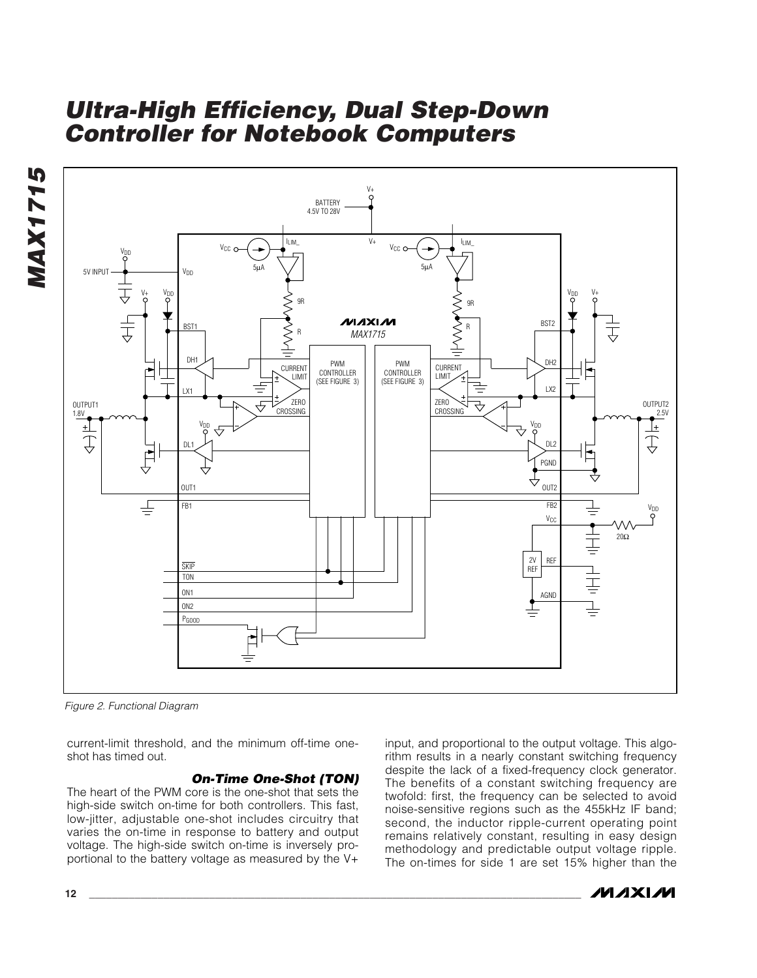



*Figure 2. Functional Diagram*

current-limit threshold, and the minimum off-time oneshot has timed out.

#### *On-Time One-Shot (TON)*

The heart of the PWM core is the one-shot that sets the high-side switch on-time for both controllers. This fast, low-jitter, adjustable one-shot includes circuitry that varies the on-time in response to battery and output voltage. The high-side switch on-time is inversely proportional to the battery voltage as measured by the V+

input, and proportional to the output voltage. This algorithm results in a nearly constant switching frequency despite the lack of a fixed-frequency clock generator. The benefits of a constant switching frequency are twofold: first, the frequency can be selected to avoid noise-sensitive regions such as the 455kHz IF band; second, the inductor ripple-current operating point remains relatively constant, resulting in easy design methodology and predictable output voltage ripple. The on-times for side 1 are set 15% higher than the

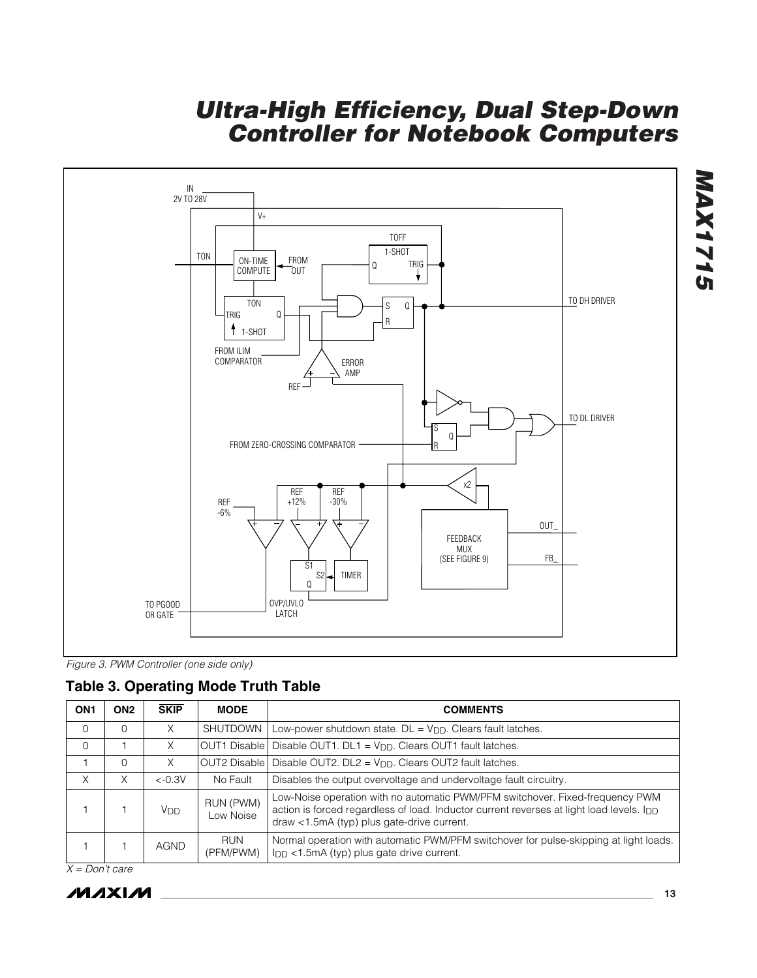

*Figure 3. PWM Controller (one side only)*

|  | <b>Table 3. Operating Mode Truth Table</b> |  |  |  |
|--|--------------------------------------------|--|--|--|
|--|--------------------------------------------|--|--|--|

| ON <sub>1</sub> | ON <sub>2</sub> | <b>SKIP</b>     | <b>MODE</b>             | <b>COMMENTS</b>                                                                                                                                                                                                         |  |  |
|-----------------|-----------------|-----------------|-------------------------|-------------------------------------------------------------------------------------------------------------------------------------------------------------------------------------------------------------------------|--|--|
| $\Omega$        | $\Omega$        | X               | <b>SHUTDOWN</b>         | Low-power shutdown state. $DL = V_{DD}$ . Clears fault latches.                                                                                                                                                         |  |  |
| $\Omega$        |                 | X               | <b>OUT1 Disable I</b>   | Disable OUT1. DL1 = V <sub>DD</sub> . Clears OUT1 fault latches.                                                                                                                                                        |  |  |
|                 | $\Omega$        | X               | OUT2 Disable            | Disable OUT2. $DL2 = V_{DD}$ . Clears OUT2 fault latches.                                                                                                                                                               |  |  |
| X               | Χ               | $<-0.3V$        | No Fault                | Disables the output overvoltage and undervoltage fault circuitry.                                                                                                                                                       |  |  |
|                 |                 | V <sub>DD</sub> | RUN (PWM)<br>Low Noise  | Low-Noise operation with no automatic PWM/PFM switchover. Fixed-frequency PWM<br>action is forced regardless of load. Inductor current reverses at light load levels. Ipp<br>draw <1.5mA (typ) plus gate-drive current. |  |  |
|                 |                 | <b>AGND</b>     | <b>RUN</b><br>(PFM/PWM) | Normal operation with automatic PWM/PFM switchover for pulse-skipping at light loads.<br>$I_{DD}$ < 1.5mA (typ) plus gate drive current.                                                                                |  |  |

*X = Don't care*

*MAX1715*

**ATTIXAM**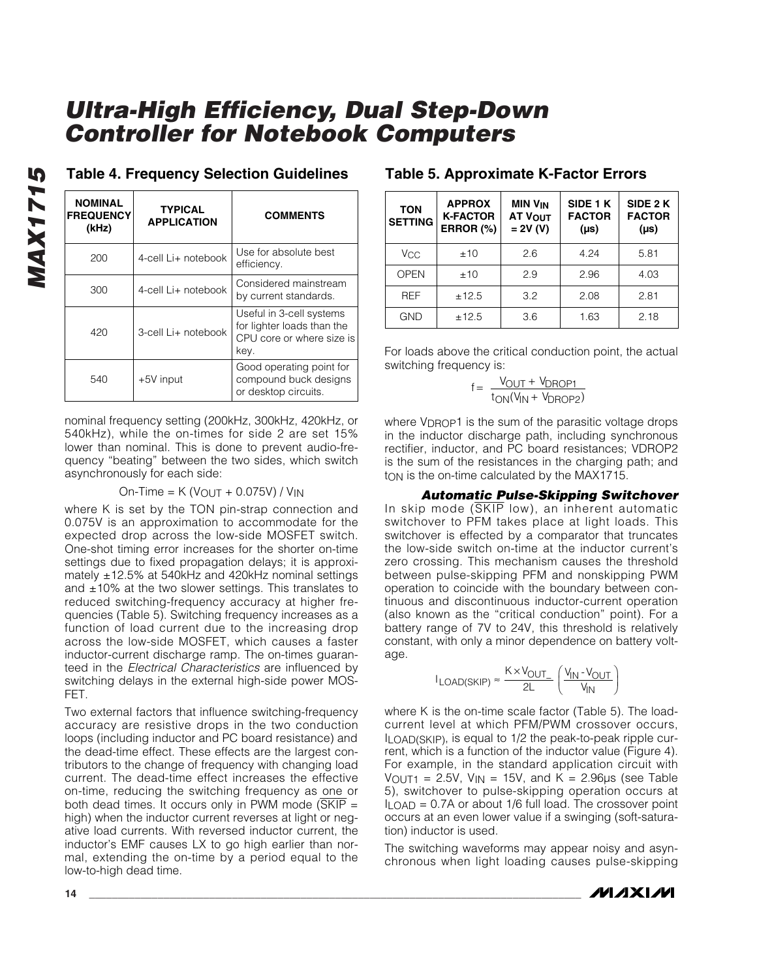| <b>NOMINAL</b><br><b>FREQUENCY</b><br>(kHz) | <b>TYPICAL</b><br><b>APPLICATION</b> | <b>COMMENTS</b>                                                                             |  |
|---------------------------------------------|--------------------------------------|---------------------------------------------------------------------------------------------|--|
| 200                                         | 4-cell Li+ notebook                  | Use for absolute best<br>efficiency.                                                        |  |
| 300                                         | 4-cell Li+ notebook                  | Considered mainstream<br>by current standards.                                              |  |
| 420                                         | 3-cell Li+ notebook                  | Useful in 3-cell systems<br>for lighter loads than the<br>CPU core or where size is<br>key. |  |
| 540                                         | +5V input                            | Good operating point for<br>compound buck designs<br>or desktop circuits.                   |  |

### **Table 4. Frequency Selection Guidelines Table 5. Approximate K-Factor Errors**

nominal frequency setting (200kHz, 300kHz, 420kHz, or 540kHz), while the on-times for side 2 are set 15% lower than nominal. This is done to prevent audio-frequency "beating" between the two sides, which switch asynchronously for each side:

#### $On-Time = K (V<sub>OUT</sub> + 0.075V) / V<sub>IN</sub>$

where K is set by the TON pin-strap connection and 0.075V is an approximation to accommodate for the expected drop across the low-side MOSFET switch. One-shot timing error increases for the shorter on-time settings due to fixed propagation delays; it is approximately ±12.5% at 540kHz and 420kHz nominal settings and  $\pm$ 10% at the two slower settings. This translates to reduced switching-frequency accuracy at higher frequencies (Table 5). Switching frequency increases as a function of load current due to the increasing drop across the low-side MOSFET, which causes a faster inductor-current discharge ramp. The on-times guaranteed in the *Electrical Characteristics* are influenced by switching delays in the external high-side power MOS-FET.

Two external factors that influence switching-frequency accuracy are resistive drops in the two conduction loops (including inductor and PC board resistance) and the dead-time effect. These effects are the largest contributors to the change of frequency with changing load current. The dead-time effect increases the effective on-time, reducing the switching frequency as one or both dead times. It occurs only in PWM mode (SKIP  $=$ high) when the inductor current reverses at light or negative load currents. With reversed inductor current, the inductor's EMF causes LX to go high earlier than normal, extending the on-time by a period equal to the low-to-high dead time.

| <b>TON</b><br><b>SETTING</b> | <b>APPROX</b><br><b>K-FACTOR</b><br>ERROR (%) | <b>MIN V<sub>IN</sub></b><br>AT VOUT<br>$= 2V (V)$ | SIDE 1 K<br><b>FACTOR</b><br>$(\mu s)$ | SIDE 2 K<br><b>FACTOR</b><br>$(\mu s)$ |
|------------------------------|-----------------------------------------------|----------------------------------------------------|----------------------------------------|----------------------------------------|
| Vcc                          | ±10                                           | 2.6                                                | 4.24                                   | 5.81                                   |
| <b>OPEN</b>                  | ±10                                           | 2.9                                                | 2.96                                   | 4.03                                   |
| <b>REF</b>                   | ±12.5                                         | 3.2                                                | 2.08                                   | 2.81                                   |
| <b>GND</b>                   | ±12.5                                         | 3.6                                                | 1.63                                   | 2.18                                   |

For loads above the critical conduction point, the actual switching frequency is:

$$
f = \frac{V_{OUT} + V_{DROP1}}{t_{ON}(V_{IN} + V_{DROP2})}
$$

where VDROP1 is the sum of the parasitic voltage drops in the inductor discharge path, including synchronous rectifier, inductor, and PC board resistances; VDROP2 is the sum of the resistances in the charging path; and t<sub>ON</sub> is the on-time calculated by the MAX1715.

*Automatic Pulse-Skipping Switchover* In skip mode (SKIP low), an inherent automatic switchover to PFM takes place at light loads. This switchover is effected by a comparator that truncates the low-side switch on-time at the inductor current's zero crossing. This mechanism causes the threshold between pulse-skipping PFM and nonskipping PWM operation to coincide with the boundary between continuous and discontinuous inductor-current operation (also known as the "critical conduction" point). For a battery range of 7V to 24V, this threshold is relatively constant, with only a minor dependence on battery voltage.

$$
I_{\text{LOAD(SKIP)}} \approx \frac{K \times V_{\text{OUT}}}{2L} \left( \frac{V_{\text{IN}} \cdot V_{\text{OUT}}}{V_{\text{IN}}} \right)
$$

where K is the on-time scale factor (Table 5). The loadcurrent level at which PFM/PWM crossover occurs, ILOAD(SKIP), is equal to 1/2 the peak-to-peak ripple current, which is a function of the inductor value (Figure 4). For example, in the standard application circuit with  $V_{\text{OUT1}} = 2.5V$ ,  $V_{\text{IN}} = 15V$ , and  $K = 2.96\mu s$  (see Table 5), switchover to pulse-skipping operation occurs at  $I_{\text{LOAD}} = 0.7A$  or about 1/6 full load. The crossover point occurs at an even lower value if a swinging (soft-saturation) inductor is used.

The switching waveforms may appear noisy and asynchronous when light loading causes pulse-skipping

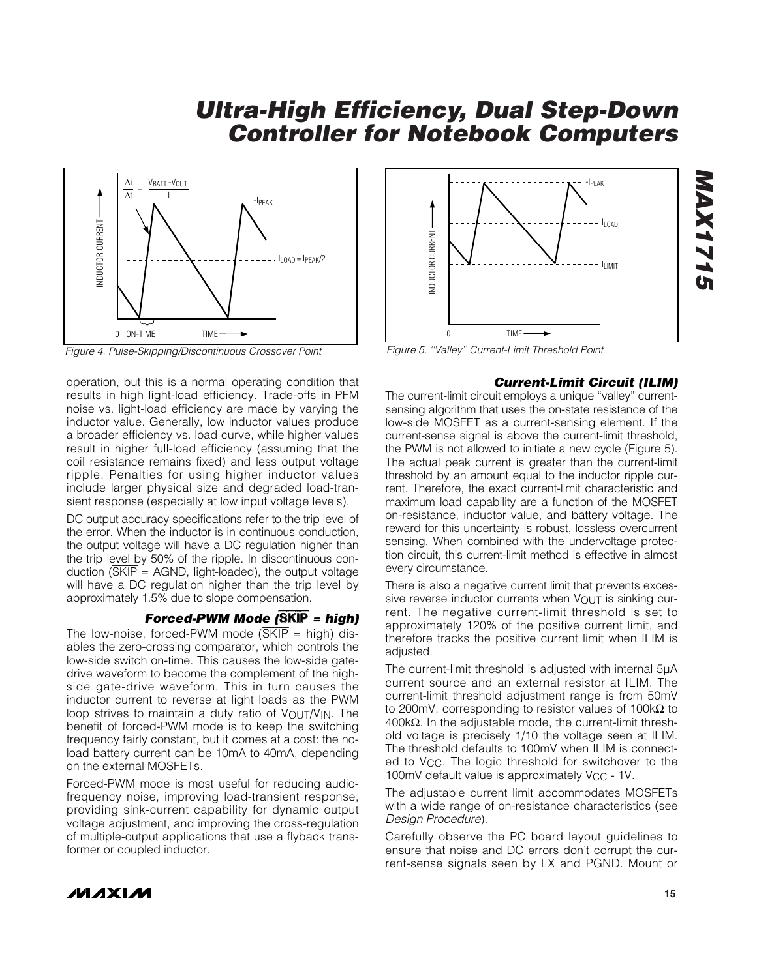

operation, but this is a normal operating condition that results in high light-load efficiency. Trade-offs in PFM noise vs. light-load efficiency are made by varying the inductor value. Generally, low inductor values produce a broader efficiency vs. load curve, while higher values result in higher full-load efficiency (assuming that the coil resistance remains fixed) and less output voltage ripple. Penalties for using higher inductor values include larger physical size and degraded load-transient response (especially at low input voltage levels).

DC output accuracy specifications refer to the trip level of the error. When the inductor is in continuous conduction, the output voltage will have a DC regulation higher than the trip level by 50% of the ripple. In discontinuous conduction  $(SKIP = AGND, light-localed)$ , the output voltage will have a DC regulation higher than the trip level by approximately 1.5% due to slope compensation.

#### *Forced-PWM Mode (*SKIP *= high)*

The low-noise, forced-PWM mode  $(\overline{\text{SKIP}})$  = high) disables the zero-crossing comparator, which controls the low-side switch on-time. This causes the low-side gatedrive waveform to become the complement of the highside gate-drive waveform. This in turn causes the inductor current to reverse at light loads as the PWM loop strives to maintain a duty ratio of  $V_{\text{OUT}}/V_{\text{IN}}$ . The benefit of forced-PWM mode is to keep the switching frequency fairly constant, but it comes at a cost: the noload battery current can be 10mA to 40mA, depending on the external MOSFETs.

Forced-PWM mode is most useful for reducing audiofrequency noise, improving load-transient response, providing sink-current capability for dynamic output voltage adjustment, and improving the cross-regulation of multiple-output applications that use a flyback transformer or coupled inductor.



#### *Current-Limit Circuit (ILIM)*

*MAX1715*

**AAX1715** 

The current-limit circuit employs a unique "valley" currentsensing algorithm that uses the on-state resistance of the low-side MOSFET as a current-sensing element. If the current-sense signal is above the current-limit threshold, the PWM is not allowed to initiate a new cycle (Figure 5). The actual peak current is greater than the current-limit threshold by an amount equal to the inductor ripple current. Therefore, the exact current-limit characteristic and maximum load capability are a function of the MOSFET on-resistance, inductor value, and battery voltage. The reward for this uncertainty is robust, lossless overcurrent sensing. When combined with the undervoltage protection circuit, this current-limit method is effective in almost every circumstance.

There is also a negative current limit that prevents excessive reverse inductor currents when  $V_{\text{OUT}}$  is sinking current. The negative current-limit threshold is set to approximately 120% of the positive current limit, and therefore tracks the positive current limit when ILIM is adjusted.

The current-limit threshold is adjusted with internal 5µA current source and an external resistor at ILIM. The current-limit threshold adjustment range is from 50mV to 200mV, corresponding to resistor values of 100kΩ to 400kΩ. In the adjustable mode, the current-limit threshold voltage is precisely 1/10 the voltage seen at ILIM. The threshold defaults to 100mV when ILIM is connected to VCC. The logic threshold for switchover to the 100mV default value is approximately V<sub>CC</sub> - 1V.

The adjustable current limit accommodates MOSFETs with a wide range of on-resistance characteristics (see *Design Procedure*).

Carefully observe the PC board layout guidelines to ensure that noise and DC errors don't corrupt the current-sense signals seen by LX and PGND. Mount or

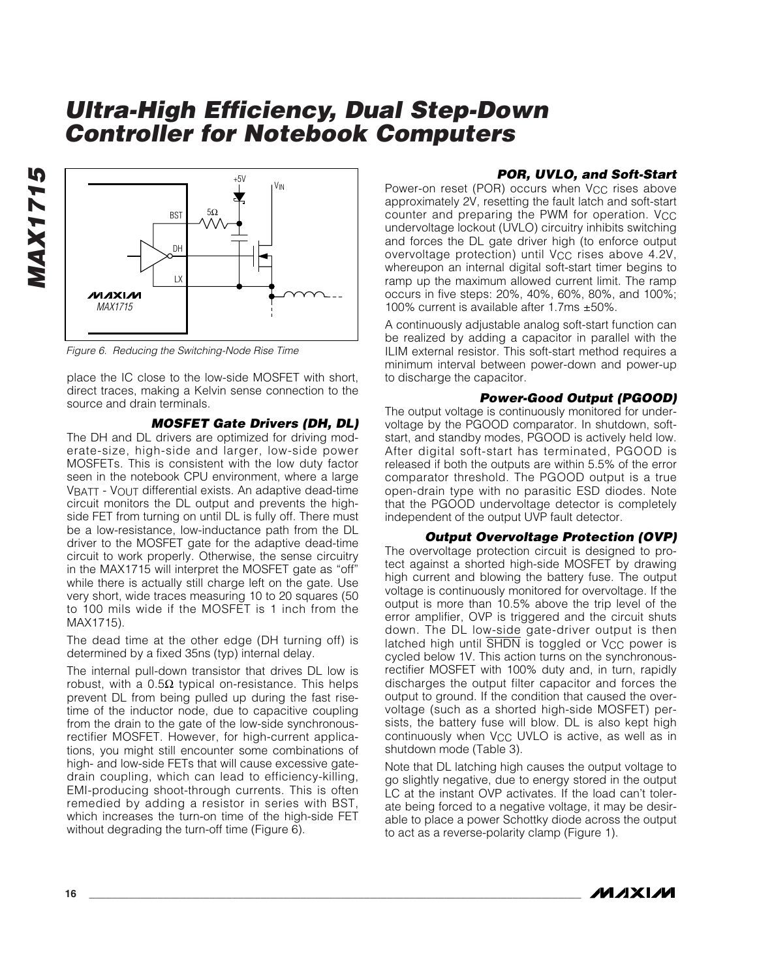

*Figure 6. Reducing the Switching-Node Rise Time*

place the IC close to the low-side MOSFET with short, direct traces, making a Kelvin sense connection to the source and drain terminals.

#### *MOSFET Gate Drivers (DH, DL)*

The DH and DL drivers are optimized for driving moderate-size, high-side and larger, low-side power MOSFETs. This is consistent with the low duty factor seen in the notebook CPU environment, where a large VBATT - VOUT differential exists. An adaptive dead-time circuit monitors the DL output and prevents the highside FET from turning on until DL is fully off. There must be a low-resistance, low-inductance path from the DL driver to the MOSFET gate for the adaptive dead-time circuit to work properly. Otherwise, the sense circuitry in the MAX1715 will interpret the MOSFET gate as "off" while there is actually still charge left on the gate. Use very short, wide traces measuring 10 to 20 squares (50 to 100 mils wide if the MOSFET is 1 inch from the MAX1715).

The dead time at the other edge (DH turning off) is determined by a fixed 35ns (typ) internal delay.

The internal pull-down transistor that drives DL low is robust, with a  $0.5Ω$  typical on-resistance. This helps prevent DL from being pulled up during the fast risetime of the inductor node, due to capacitive coupling from the drain to the gate of the low-side synchronousrectifier MOSFET. However, for high-current applications, you might still encounter some combinations of high- and low-side FETs that will cause excessive gatedrain coupling, which can lead to efficiency-killing, EMI-producing shoot-through currents. This is often remedied by adding a resistor in series with BST, which increases the turn-on time of the high-side FET without degrading the turn-off time (Figure 6).

#### *POR, UVLO, and Soft-Start*

Power-on reset (POR) occurs when V<sub>CC</sub> rises above approximately 2V, resetting the fault latch and soft-start counter and preparing the PWM for operation. VCC undervoltage lockout (UVLO) circuitry inhibits switching and forces the DL gate driver high (to enforce output overvoltage protection) until V<sub>CC</sub> rises above 4.2V, whereupon an internal digital soft-start timer begins to ramp up the maximum allowed current limit. The ramp occurs in five steps: 20%, 40%, 60%, 80%, and 100%; 100% current is available after 1.7ms ±50%.

A continuously adjustable analog soft-start function can be realized by adding a capacitor in parallel with the ILIM external resistor. This soft-start method requires a minimum interval between power-down and power-up to discharge the capacitor.

#### *Power-Good Output (PGOOD)*

The output voltage is continuously monitored for undervoltage by the PGOOD comparator. In shutdown, softstart, and standby modes, PGOOD is actively held low. After digital soft-start has terminated, PGOOD is released if both the outputs are within 5.5% of the error comparator threshold. The PGOOD output is a true open-drain type with no parasitic ESD diodes. Note that the PGOOD undervoltage detector is completely independent of the output UVP fault detector.

*Output Overvoltage Protection (OVP)* The overvoltage protection circuit is designed to protect against a shorted high-side MOSFET by drawing high current and blowing the battery fuse. The output voltage is continuously monitored for overvoltage. If the output is more than 10.5% above the trip level of the error amplifier, OVP is triggered and the circuit shuts down. The DL low-side gate-driver output is then latched high until  $\overline{SHDN}$  is toggled or V<sub>CC</sub> power is cycled below 1V. This action turns on the synchronousrectifier MOSFET with 100% duty and, in turn, rapidly discharges the output filter capacitor and forces the output to ground. If the condition that caused the overvoltage (such as a shorted high-side MOSFET) persists, the battery fuse will blow. DL is also kept high continuously when V<sub>CC</sub> UVLO is active, as well as in shutdown mode (Table 3).

Note that DL latching high causes the output voltage to go slightly negative, due to energy stored in the output LC at the instant OVP activates. If the load can't tolerate being forced to a negative voltage, it may be desirable to place a power Schottky diode across the output to act as a reverse-polarity clamp (Figure 1).



*MAX1715*

**MAX1715**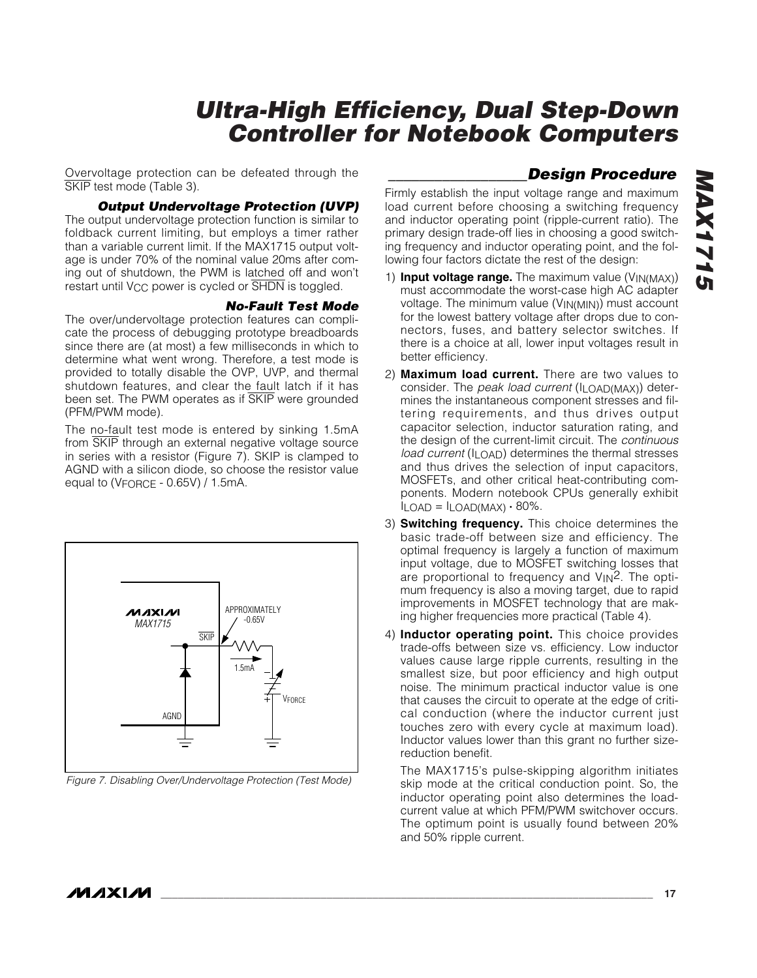Overvoltage protection can be defeated through the SKIP test mode (Table 3).

#### *Output Undervoltage Protection (UVP)*

The output undervoltage protection function is similar to foldback current limiting, but employs a timer rather than a variable current limit. If the MAX1715 output voltage is under 70% of the nominal value 20ms after coming out of shutdown, the PWM is latched off and won't restart until V<sub>CC</sub> power is cycled or  $\overline{SHDN}$  is toggled.

#### *No-Fault Test Mode*

The over/undervoltage protection features can complicate the process of debugging prototype breadboards since there are (at most) a few milliseconds in which to determine what went wrong. Therefore, a test mode is provided to totally disable the OVP, UVP, and thermal shutdown features, and clear the fault latch if it has been set. The PWM operates as if SKIP were grounded (PFM/PWM mode).

The no-fault test mode is entered by sinking 1.5mA from SKIP through an external negative voltage source in series with a resistor (Figure 7). SKIP is clamped to AGND with a silicon diode, so choose the resistor value equal to (VFORCE - 0.65V) / 1.5mA.



*Figure 7. Disabling Over/Undervoltage Protection (Test Mode)*

Firmly establish the input voltage range and maximum load current before choosing a switching frequency and inductor operating point (ripple-current ratio). The primary design trade-off lies in choosing a good switching frequency and inductor operating point, and the following four factors dictate the rest of the design:

*\_\_\_\_\_\_\_\_\_\_\_\_\_\_\_\_\_\_Design Procedure*

- 1) **Input voltage range.** The maximum value (V<sub>IN(MAX)</sub>) must accommodate the worst-case high AC adapter voltage. The minimum value (VIN(MIN)) must account for the lowest battery voltage after drops due to connectors, fuses, and battery selector switches. If there is a choice at all, lower input voltages result in better efficiency.
- 2) **Maximum load current.** There are two values to consider. The *peak load current* (ILOAD(MAX)) determines the instantaneous component stresses and filtering requirements, and thus drives output capacitor selection, inductor saturation rating, and the design of the current-limit circuit. The *continuous load current* (ILOAD) determines the thermal stresses and thus drives the selection of input capacitors, MOSFETs, and other critical heat-contributing components. Modern notebook CPUs generally exhibit  $I_{LOAD} = I_{LOAD(MAX)} \cdot 80\%$ .
- 3) **Switching frequency.** This choice determines the basic trade-off between size and efficiency. The optimal frequency is largely a function of maximum input voltage, due to MOSFET switching losses that are proportional to frequency and VIN2. The optimum frequency is also a moving target, due to rapid improvements in MOSFET technology that are making higher frequencies more practical (Table 4).
- 4) **Inductor operating point.** This choice provides trade-offs between size vs. efficiency. Low inductor values cause large ripple currents, resulting in the smallest size, but poor efficiency and high output noise. The minimum practical inductor value is one that causes the circuit to operate at the edge of critical conduction (where the inductor current just touches zero with every cycle at maximum load). Inductor values lower than this grant no further sizereduction benefit.

The MAX1715's pulse-skipping algorithm initiates skip mode at the critical conduction point. So, the inductor operating point also determines the loadcurrent value at which PFM/PWM switchover occurs. The optimum point is usually found between 20% and 50% ripple current.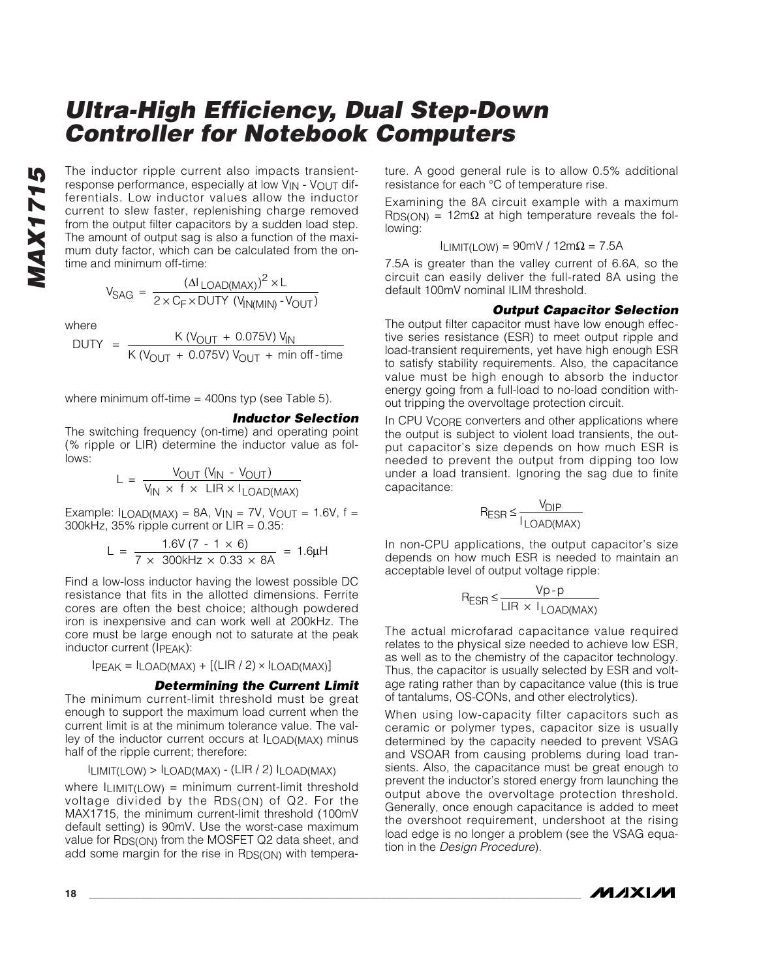**MAX1715** *MAX1715* The inductor ripple current also impacts transientresponse performance, especially at low V<sub>IN</sub> - V<sub>OUT</sub> differentials. Low inductor values allow the inductor current to slew faster, replenishing charge removed from the output filter capacitors by a sudden load step. The amount of output sag is also a function of the maximum duty factor, which can be calculated from the ontime and minimum off-time:

$$
V_{SAG} = \frac{( \Delta I_{\text{LOAD(MAX)}})^{2} \times L}{2 \times C_{F} \times DUTY (V_{\text{IN(MIN)}} - V_{\text{OUT}})}
$$

where

DUTY = 
$$
\frac{K (V_{OUT} + 0.075V) V_{IN}}{K (V_{OUT} + 0.075V) V_{OUT} + min off-time}
$$

where minimum off-time  $=$  400ns typ (see Table 5).

#### *Inductor Selection*

The switching frequency (on-time) and operating point (% ripple or LIR) determine the inductor value as follows:

$$
L = \frac{V_{OUT} (V_{IN} - V_{OUT})}{V_{IN} \times f \times LIR \times I_{LOAD(MAX)}}
$$

Example:  $I_{LOAD(MAX)} = 8A$ ,  $V_{IN} = 7V$ ,  $V_{OUT} = 1.6V$ ,  $f =$ 300kHz,  $35\%$  ripple current or  $LIR = 0.35$ :

$$
L = \frac{1.6V (7 - 1 \times 6)}{7 \times 300kHz \times 0.33 \times 8A} = 1.6 \mu H
$$

Find a low-loss inductor having the lowest possible DC resistance that fits in the allotted dimensions. Ferrite cores are often the best choice; although powdered iron is inexpensive and can work well at 200kHz. The core must be large enough not to saturate at the peak inductor current (IPEAK):

 $IPEAK = ILOAD(MAX) + [(LIR / 2) \times ILOAD(MAX)]$ 

#### *Determining the Current Limit*

The minimum current-limit threshold must be great enough to support the maximum load current when the current limit is at the minimum tolerance value. The valley of the inductor current occurs at ILOAD(MAX) minus half of the ripple current; therefore:

$$
I_{LIMIT(LOW)} > I_{LOAD(MAX)} - (LIR / 2) I_{LOAD(MAX)}
$$

where  $I_{LIMIT(LOW)} =$  minimum current-limit threshold voltage divided by the RDS(ON) of Q2. For the MAX1715, the minimum current-limit threshold (100mV default setting) is 90mV. Use the worst-case maximum value for R<sub>DS(ON)</sub> from the MOSFET Q2 data sheet, and add some margin for the rise in R<sub>DS(ON)</sub> with temperature. A good general rule is to allow 0.5% additional resistance for each °C of temperature rise.

Examining the 8A circuit example with a maximum  $RDS(ON) = 12m\Omega$  at high temperature reveals the following:

$$
I_{LIMIT(LOW)} = 90mV / 12m\Omega = 7.5A
$$

7.5A is greater than the valley current of 6.6A, so the circuit can easily deliver the full-rated 8A using the default 100mV nominal ILIM threshold.

#### *Output Capacitor Selection*

The output filter capacitor must have low enough effective series resistance (ESR) to meet output ripple and load-transient requirements, yet have high enough ESR to satisfy stability requirements. Also, the capacitance value must be high enough to absorb the inductor energy going from a full-load to no-load condition without tripping the overvoltage protection circuit.

In CPU VCORE converters and other applications where the output is subject to violent load transients, the output capacitor's size depends on how much ESR is needed to prevent the output from dipping too low under a load transient. Ignoring the sag due to finite capacitance:

$$
R_{ESR} \le \frac{V_{DIP}}{I_{LOAD(MAX)}}
$$

In non-CPU applications, the output capacitor's size depends on how much ESR is needed to maintain an acceptable level of output voltage ripple:

$$
R_{ESR} \leq \frac{Vp - p}{LIR \times I_{LOAD(MAX)}}
$$

The actual microfarad capacitance value required relates to the physical size needed to achieve low ESR, as well as to the chemistry of the capacitor technology. Thus, the capacitor is usually selected by ESR and voltage rating rather than by capacitance value (this is true of tantalums, OS-CONs, and other electrolytics).

When using low-capacity filter capacitors such as ceramic or polymer types, capacitor size is usually determined by the capacity needed to prevent VSAG and VSOAR from causing problems during load transients. Also, the capacitance must be great enough to prevent the inductor's stored energy from launching the output above the overvoltage protection threshold. Generally, once enough capacitance is added to meet the overshoot requirement, undershoot at the rising load edge is no longer a problem (see the VSAG equation in the *Design Procedure*).

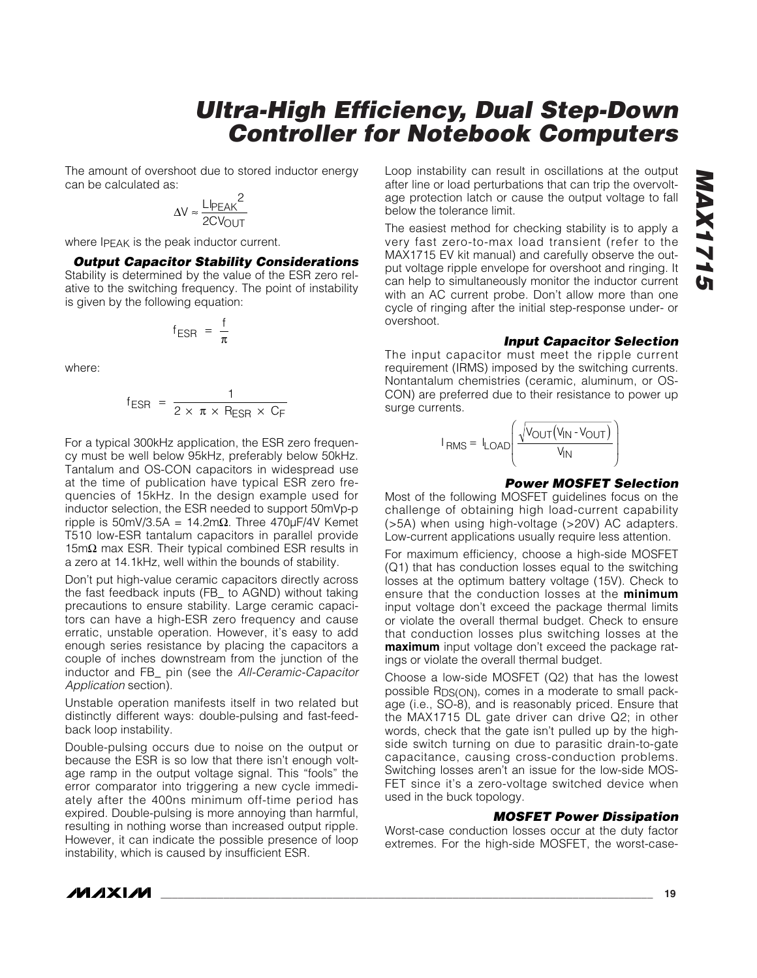The amount of overshoot due to stored inductor energy can be calculated as:

$$
\Delta V \approx \frac{LI_{PEAK}^2}{2CV_{OUT}}
$$

where IPEAK is the peak inductor current.

#### *Output Capacitor Stability Considerations*

Stability is determined by the value of the ESR zero relative to the switching frequency. The point of instability is given by the following equation:

$$
f_{ESR} = \frac{f}{\pi}
$$

where:

$$
f_{ESR} = \frac{1}{2 \times \pi \times R_{ESR} \times C_F}
$$

For a typical 300kHz application, the ESR zero frequency must be well below 95kHz, preferably below 50kHz. Tantalum and OS-CON capacitors in widespread use at the time of publication have typical ESR zero frequencies of 15kHz. In the design example used for inductor selection, the ESR needed to support 50mVp-p ripple is 50mV/3.5A = 14.2m $\Omega$ . Three 470µF/4V Kemet T510 low-ESR tantalum capacitors in parallel provide 15mΩ max ESR. Their typical combined ESR results in a zero at 14.1kHz, well within the bounds of stability.

Don't put high-value ceramic capacitors directly across the fast feedback inputs (FB\_ to AGND) without taking precautions to ensure stability. Large ceramic capacitors can have a high-ESR zero frequency and cause erratic, unstable operation. However, it's easy to add enough series resistance by placing the capacitors a couple of inches downstream from the junction of the inductor and FB\_ pin (see the *All-Ceramic-Capacitor Application* section).

Unstable operation manifests itself in two related but distinctly different ways: double-pulsing and fast-feedback loop instability.

Double-pulsing occurs due to noise on the output or because the ESR is so low that there isn't enough voltage ramp in the output voltage signal. This "fools" the error comparator into triggering a new cycle immediately after the 400ns minimum off-time period has expired. Double-pulsing is more annoying than harmful, resulting in nothing worse than increased output ripple. However, it can indicate the possible presence of loop instability, which is caused by insufficient ESR.

Loop instability can result in oscillations at the output after line or load perturbations that can trip the overvoltage protection latch or cause the output voltage to fall below the tolerance limit.

The easiest method for checking stability is to apply a very fast zero-to-max load transient (refer to the MAX1715 EV kit manual) and carefully observe the output voltage ripple envelope for overshoot and ringing. It can help to simultaneously monitor the inductor current with an AC current probe. Don't allow more than one cycle of ringing after the initial step-response under- or overshoot.

#### *Input Capacitor Selection*

The input capacitor must meet the ripple current requirement (IRMS) imposed by the switching currents. Nontantalum chemistries (ceramic, aluminum, or OS-CON) are preferred due to their resistance to power up surge currents.

$$
I_{RMS} = I_{LOAD}\left(\frac{\sqrt{V_{OUT}(V_{IN} - V_{OUT})}}{V_{IN}}\right)
$$

#### *Power MOSFET Selection*

Most of the following MOSFET guidelines focus on the challenge of obtaining high load-current capability (>5A) when using high-voltage (>20V) AC adapters. Low-current applications usually require less attention.

For maximum efficiency, choose a high-side MOSFET (Q1) that has conduction losses equal to the switching losses at the optimum battery voltage (15V). Check to ensure that the conduction losses at the **minimum** input voltage don't exceed the package thermal limits or violate the overall thermal budget. Check to ensure that conduction losses plus switching losses at the **maximum** input voltage don't exceed the package ratings or violate the overall thermal budget.

Choose a low-side MOSFET (Q2) that has the lowest possible RDS(ON), comes in a moderate to small package (i.e., SO-8), and is reasonably priced. Ensure that the MAX1715 DL gate driver can drive Q2; in other words, check that the gate isn't pulled up by the highside switch turning on due to parasitic drain-to-gate capacitance, causing cross-conduction problems. Switching losses aren't an issue for the low-side MOS-FET since it's a zero-voltage switched device when used in the buck topology.

#### *MOSFET Power Dissipation*

Worst-case conduction losses occur at the duty factor extremes. For the high-side MOSFET, the worst-case-

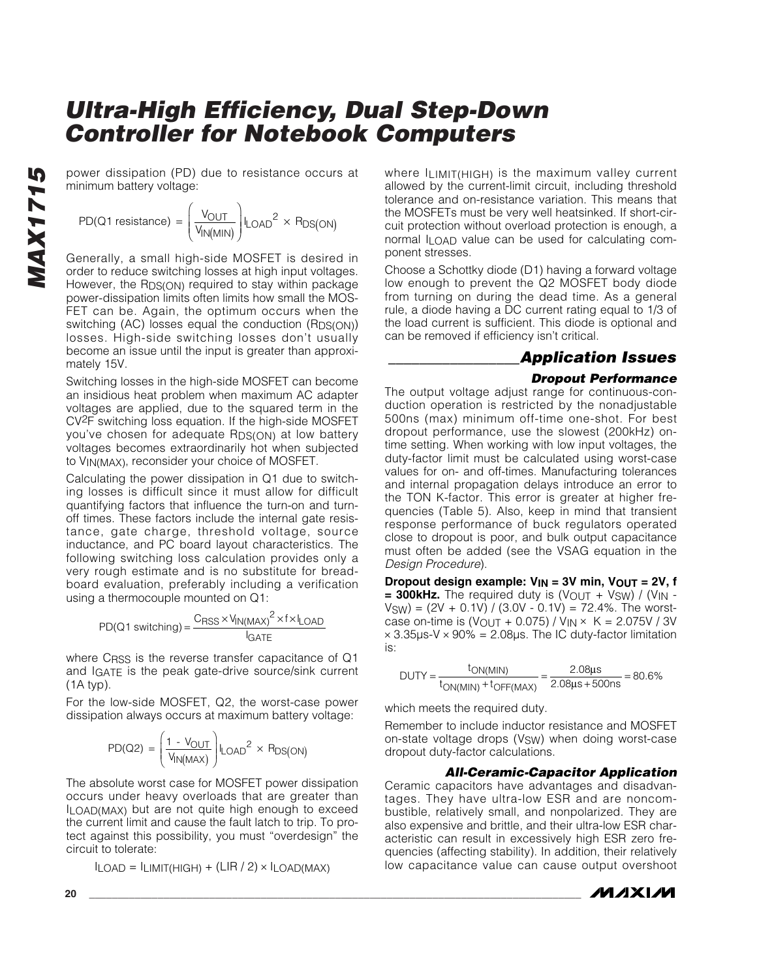power dissipation (PD) due to resistance occurs at minimum battery voltage:

PD(Q1 resistance) =  $\frac{V_{\text{OUT}}}{V_{\text{IN(MIN)}}}\|_{\text{LOAD}}^2 \times R$  $=\left(\frac{V_{OUT}}{V_{IN(MIN)}}\right)$ I<sub>LOAD</sub><sup>2</sup> × R<sub>DS(ON</sub> l  $\parallel$  $\overline{a}$  $\overline{1}$  $\frac{201}{(MIN)}$   $\vert$  LOAD<sup>2</sup>  $\times$  R<sub>DS(ON)</sub>

Generally, a small high-side MOSFET is desired in order to reduce switching losses at high input voltages. However, the RDS(ON) required to stay within package power-dissipation limits often limits how small the MOS-FET can be. Again, the optimum occurs when the switching (AC) losses equal the conduction (RDS(ON)) losses. High-side switching losses don't usually become an issue until the input is greater than approximately 15V.

Switching losses in the high-side MOSFET can become an insidious heat problem when maximum AC adapter voltages are applied, due to the squared term in the CV2F switching loss equation. If the high-side MOSFET you've chosen for adequate RDS(ON) at low battery voltages becomes extraordinarily hot when subjected to VIN(MAX), reconsider your choice of MOSFET.

Calculating the power dissipation in Q1 due to switching losses is difficult since it must allow for difficult quantifying factors that influence the turn-on and turnoff times. These factors include the internal gate resistance, gate charge, threshold voltage, source inductance, and PC board layout characteristics. The following switching loss calculation provides only a very rough estimate and is no substitute for breadboard evaluation, preferably including a verification using a thermocouple mounted on Q1:

$$
PD(Q1 switching) = \frac{C_{RSS} \times V_{IN(MAX)}^{2} \times f \times I_{LOAD}}{I_{GATE}}
$$

where CRSS is the reverse transfer capacitance of Q1 and IGATE is the peak gate-drive source/sink current (1A typ).

For the low-side MOSFET, Q2, the worst-case power dissipation always occurs at maximum battery voltage:

$$
PD(Q2) = \left(\frac{1 - V_{OUT}}{V_{IN(MAX)}}\right) I_{LOAD}^{2} \times R_{DS(ON)}
$$

The absolute worst case for MOSFET power dissipation occurs under heavy overloads that are greater than ILOAD(MAX) but are not quite high enough to exceed the current limit and cause the fault latch to trip. To protect against this possibility, you must "overdesign" the circuit to tolerate:

$$
I_{LOAD} = I_{LIMIT(HIGH)} + (LIR / 2) \times I_{LOAD(MAX)}
$$

where ILIMIT(HIGH) is the maximum valley current allowed by the current-limit circuit, including threshold tolerance and on-resistance variation. This means that the MOSFETs must be very well heatsinked. If short-circuit protection without overload protection is enough, a normal ILOAD value can be used for calculating component stresses.

Choose a Schottky diode (D1) having a forward voltage low enough to prevent the Q2 MOSFET body diode from turning on during the dead time. As a general rule, a diode having a DC current rating equal to 1/3 of the load current is sufficient. This diode is optional and can be removed if efficiency isn't critical.

### *\_\_\_\_\_\_\_\_\_\_\_\_\_\_\_\_\_Application Issues*

#### *Dropout Performance*

The output voltage adjust range for continuous-conduction operation is restricted by the nonadjustable 500ns (max) minimum off-time one-shot. For best dropout performance, use the slowest (200kHz) ontime setting. When working with low input voltages, the duty-factor limit must be calculated using worst-case values for on- and off-times. Manufacturing tolerances and internal propagation delays introduce an error to the TON K-factor. This error is greater at higher frequencies (Table 5). Also, keep in mind that transient response performance of buck regulators operated close to dropout is poor, and bulk output capacitance must often be added (see the VSAG equation in the *Design Procedure*).

**Dropout design example:**  $V_{IN}$  **= 3V min,**  $V_{OUT}$  **= 2V, f**  $= 300$ kHz. The required duty is (VOUT + V<sub>SW</sub>) / (V<sub>IN</sub> - $VSW$ ) = (2V + 0.1V) / (3.0V - 0.1V) = 72.4%. The worstcase on-time is (VOUT + 0.075) / V<sub>IN</sub>  $\times$  K = 2.075V / 3V  $\times$  3.35 $\mu$ s-V  $\times$  90% = 2.08 $\mu$ s. The IC duty-factor limitation is:

$$
DUTY = \frac{t_{ON(MIN)}}{t_{ON(MIN)} + t_{OFF(MAX)}} = \frac{2.08 \mu s}{2.08 \mu s + 500 \mu s} = 80.6\%
$$

which meets the required duty.

Remember to include inductor resistance and MOSFET on-state voltage drops (VSW) when doing worst-case dropout duty-factor calculations.

#### *All-Ceramic-Capacitor Application*

Ceramic capacitors have advantages and disadvantages. They have ultra-low ESR and are noncombustible, relatively small, and nonpolarized. They are also expensive and brittle, and their ultra-low ESR characteristic can result in excessively high ESR zero frequencies (affecting stability). In addition, their relatively low capacitance value can cause output overshoot

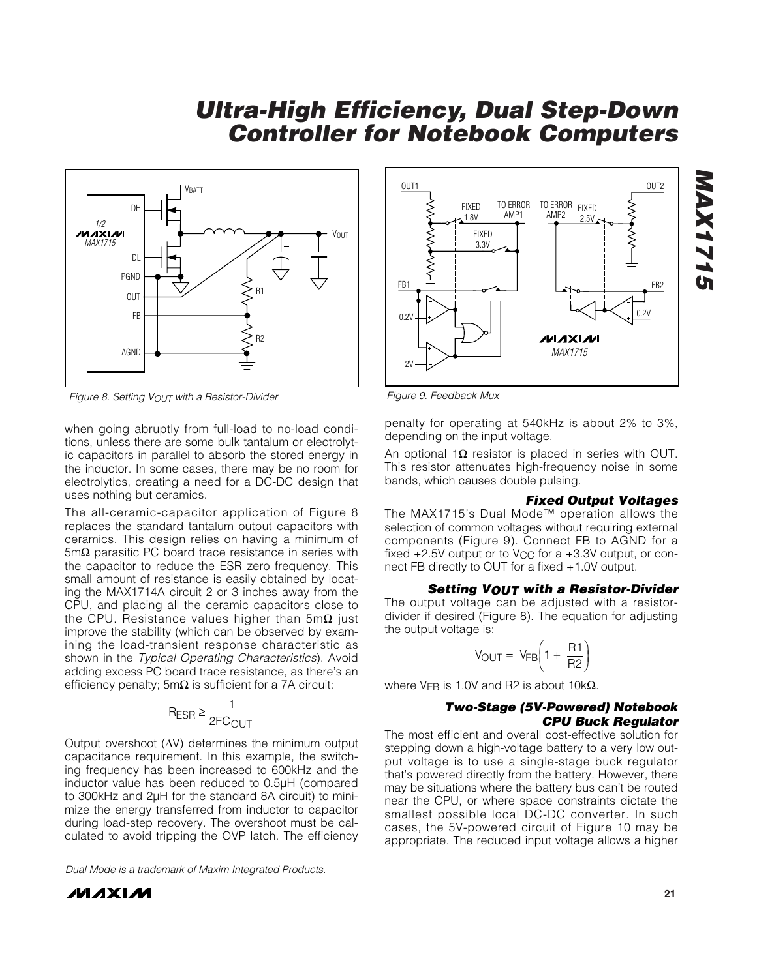

*Figure 8. Setting VOUT with a Resistor-Divider*

when going abruptly from full-load to no-load conditions, unless there are some bulk tantalum or electrolytic capacitors in parallel to absorb the stored energy in the inductor. In some cases, there may be no room for electrolytics, creating a need for a DC-DC design that uses nothing but ceramics.

The all-ceramic-capacitor application of Figure 8 replaces the standard tantalum output capacitors with ceramics. This design relies on having a minimum of 5mΩ parasitic PC board trace resistance in series with the capacitor to reduce the ESR zero frequency. This small amount of resistance is easily obtained by locating the MAX1714A circuit 2 or 3 inches away from the CPU, and placing all the ceramic capacitors close to the CPU. Resistance values higher than 5mΩ just improve the stability (which can be observed by examining the load-transient response characteristic as shown in the *Typical Operating Characteristics*). Avoid adding excess PC board trace resistance, as there's an efficiency penalty;  $5m\Omega$  is sufficient for a 7A circuit:

$$
R_{ESR} \ge \frac{1}{2FC_{OUT}}
$$

Output overshoot (∆V) determines the minimum output capacitance requirement. In this example, the switching frequency has been increased to 600kHz and the inductor value has been reduced to 0.5µH (compared to 300kHz and 2µH for the standard 8A circuit) to minimize the energy transferred from inductor to capacitor during load-step recovery. The overshoot must be calculated to avoid tripping the OVP latch. The efficiency

*Dual Mode is a trademark of Maxim Integrated Products.*





*Figure 9. Feedback Mux*

penalty for operating at 540kHz is about 2% to 3%, depending on the input voltage.

An optional 1Ω resistor is placed in series with OUT. This resistor attenuates high-frequency noise in some bands, which causes double pulsing.

#### *Fixed Output Voltages*

The MAX1715's Dual Mode™ operation allows the selection of common voltages without requiring external components (Figure 9). Connect FB to AGND for a fixed  $+2.5V$  output or to V<sub>CC</sub> for a  $+3.3V$  output, or connect FB directly to OUT for a fixed +1.0V output.

#### *Setting VOUT with a Resistor-Divider*

The output voltage can be adjusted with a resistordivider if desired (Figure 8). The equation for adjusting the output voltage is:

$$
V_{\text{OUT}} = V_{\text{FB}} \left( 1 + \frac{R1}{R2} \right)
$$

where VFB is 1.0V and R2 is about 10kΩ.

#### *Two-Stage (5V-Powered) Notebook CPU Buck Regulator*

The most efficient and overall cost-effective solution for stepping down a high-voltage battery to a very low output voltage is to use a single-stage buck regulator that's powered directly from the battery. However, there may be situations where the battery bus can't be routed near the CPU, or where space constraints dictate the smallest possible local DC-DC converter. In such cases, the 5V-powered circuit of Figure 10 may be appropriate. The reduced input voltage allows a higher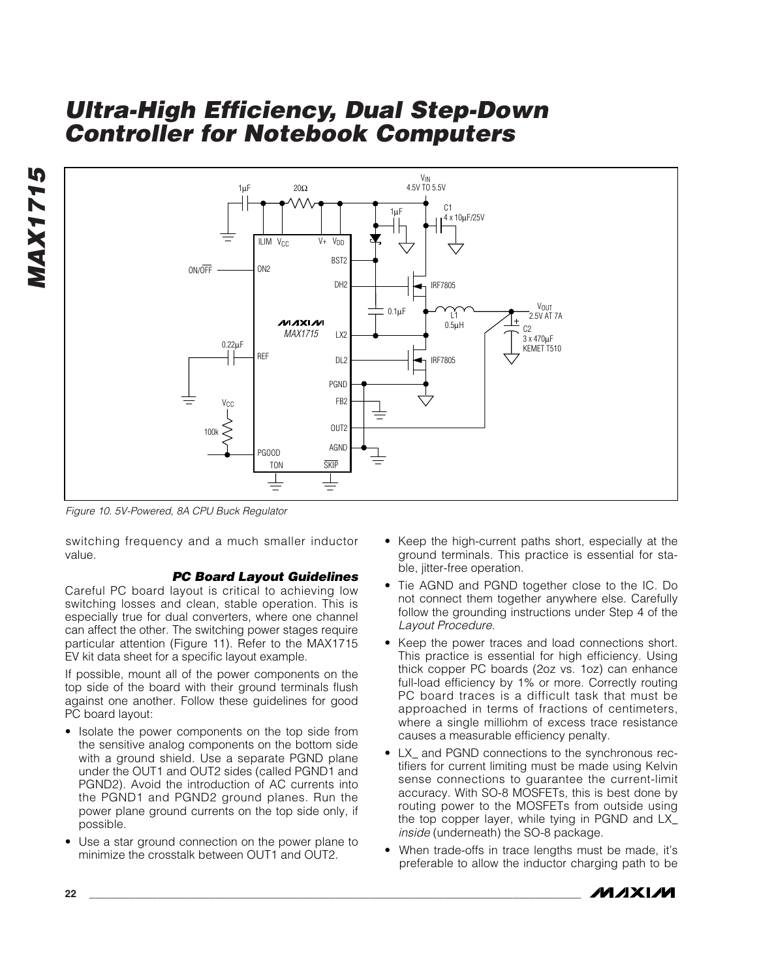

*Figure 10. 5V-Powered, 8A CPU Buck Regulator*

switching frequency and a much smaller inductor value.

#### *PC Board Layout Guidelines*

Careful PC board layout is critical to achieving low switching losses and clean, stable operation. This is especially true for dual converters, where one channel can affect the other. The switching power stages require particular attention (Figure 11). Refer to the MAX1715 EV kit data sheet for a specific layout example.

If possible, mount all of the power components on the top side of the board with their ground terminals flush against one another. Follow these guidelines for good PC board layout:

- Isolate the power components on the top side from the sensitive analog components on the bottom side with a ground shield. Use a separate PGND plane under the OUT1 and OUT2 sides (called PGND1 and PGND2). Avoid the introduction of AC currents into the PGND1 and PGND2 ground planes. Run the power plane ground currents on the top side only, if possible.
- Use a star ground connection on the power plane to minimize the crosstalk between OUT1 and OUT2.
- Keep the high-current paths short, especially at the ground terminals. This practice is essential for stable, jitter-free operation.
- Tie AGND and PGND together close to the IC. Do not connect them together anywhere else. Carefully follow the grounding instructions under Step 4 of the *Layout Procedure*.
- Keep the power traces and load connections short. This practice is essential for high efficiency. Using thick copper PC boards (2oz vs. 1oz) can enhance full-load efficiency by 1% or more. Correctly routing PC board traces is a difficult task that must be approached in terms of fractions of centimeters, where a single milliohm of excess trace resistance causes a measurable efficiency penalty.
- LX\_ and PGND connections to the synchronous rectifiers for current limiting must be made using Kelvin sense connections to guarantee the current-limit accuracy. With SO-8 MOSFETs, this is best done by routing power to the MOSFETs from outside using the top copper layer, while tying in PGND and LX\_ *inside* (underneath) the SO-8 package.
- When trade-offs in trace lengths must be made, it's preferable to allow the inductor charging path to be

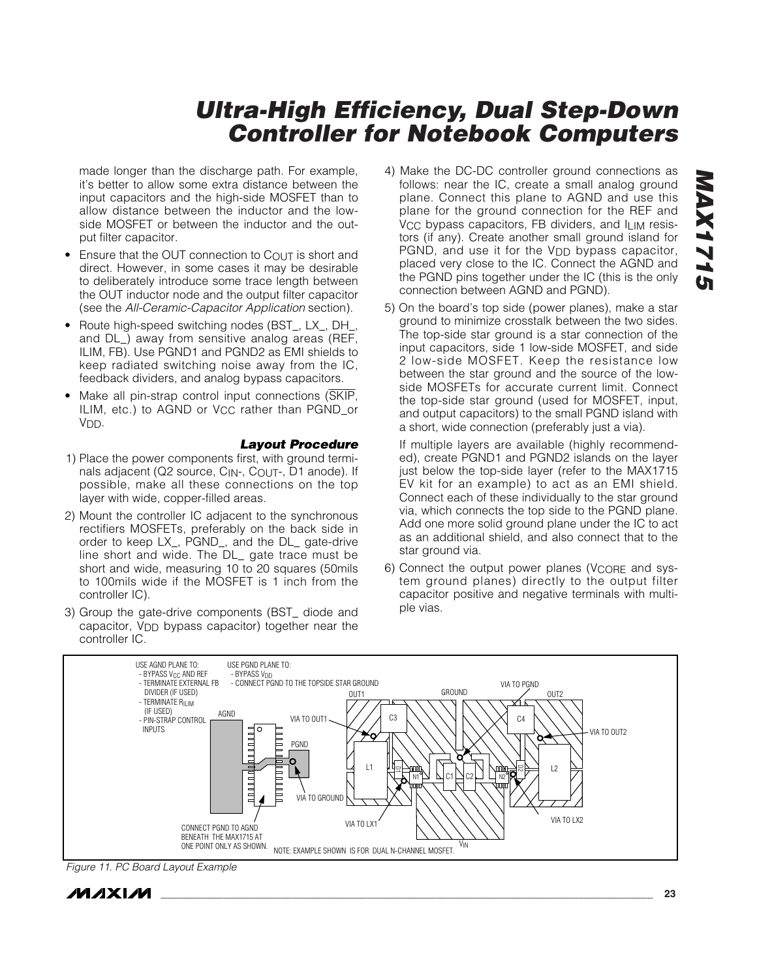made longer than the discharge path. For example, it's better to allow some extra distance between the input capacitors and the high-side MOSFET than to allow distance between the inductor and the lowside MOSFET or between the inductor and the output filter capacitor.

- Ensure that the OUT connection to COUT is short and direct. However, in some cases it may be desirable to deliberately introduce some trace length between the OUT inductor node and the output filter capacitor (see the *All-Ceramic-Capacitor Application* section).
- Route high-speed switching nodes (BST\_, LX\_, DH\_, and DL\_) away from sensitive analog areas (REF, ILIM, FB). Use PGND1 and PGND2 as EMI shields to keep radiated switching noise away from the IC, feedback dividers, and analog bypass capacitors.
- Make all pin-strap control input connections (SKIP, ILIM, etc.) to AGND or VCC rather than PGND or V<sub>DD</sub>.

#### *Layout Procedure*

- 1) Place the power components first, with ground terminals adjacent (Q2 source, C<sub>IN</sub>-, C<sub>OUT</sub>-, D1 anode). If possible, make all these connections on the top layer with wide, copper-filled areas.
- 2) Mount the controller IC adjacent to the synchronous rectifiers MOSFETs, preferably on the back side in order to keep LX\_, PGND\_, and the DL\_ gate-drive line short and wide. The DL\_ gate trace must be short and wide, measuring 10 to 20 squares (50mils to 100mils wide if the MOSFET is 1 inch from the controller IC).
- 3) Group the gate-drive components (BST\_ diode and capacitor, VDD bypass capacitor) together near the controller IC.
- 4) Make the DC-DC controller ground connections as follows: near the IC, create a small analog ground plane. Connect this plane to AGND and use this plane for the ground connection for the REF and V<sub>CC</sub> bypass capacitors, FB dividers, and I<sub>LIM</sub> resistors (if any). Create another small ground island for PGND, and use it for the V<sub>DD</sub> bypass capacitor, placed very close to the IC. Connect the AGND and the PGND pins together under the IC (this is the only connection between AGND and PGND).
- 5) On the board's top side (power planes), make a star ground to minimize crosstalk between the two sides. The top-side star ground is a star connection of the input capacitors, side 1 low-side MOSFET, and side 2 low-side MOSFET. Keep the resistance low between the star ground and the source of the lowside MOSFETs for accurate current limit. Connect the top-side star ground (used for MOSFET, input, and output capacitors) to the small PGND island with a short, wide connection (preferably just a via).

If multiple layers are available (highly recommended), create PGND1 and PGND2 islands on the layer just below the top-side layer (refer to the MAX1715 EV kit for an example) to act as an EMI shield. Connect each of these individually to the star ground via, which connects the top side to the PGND plane. Add one more solid ground plane under the IC to act as an additional shield, and also connect that to the star ground via.

6) Connect the output power planes (VCORE and system ground planes) directly to the output filter capacitor positive and negative terminals with multiple vias.



*Figure 11. PC Board Layout Example*



*MAX1715*

**MAX1715**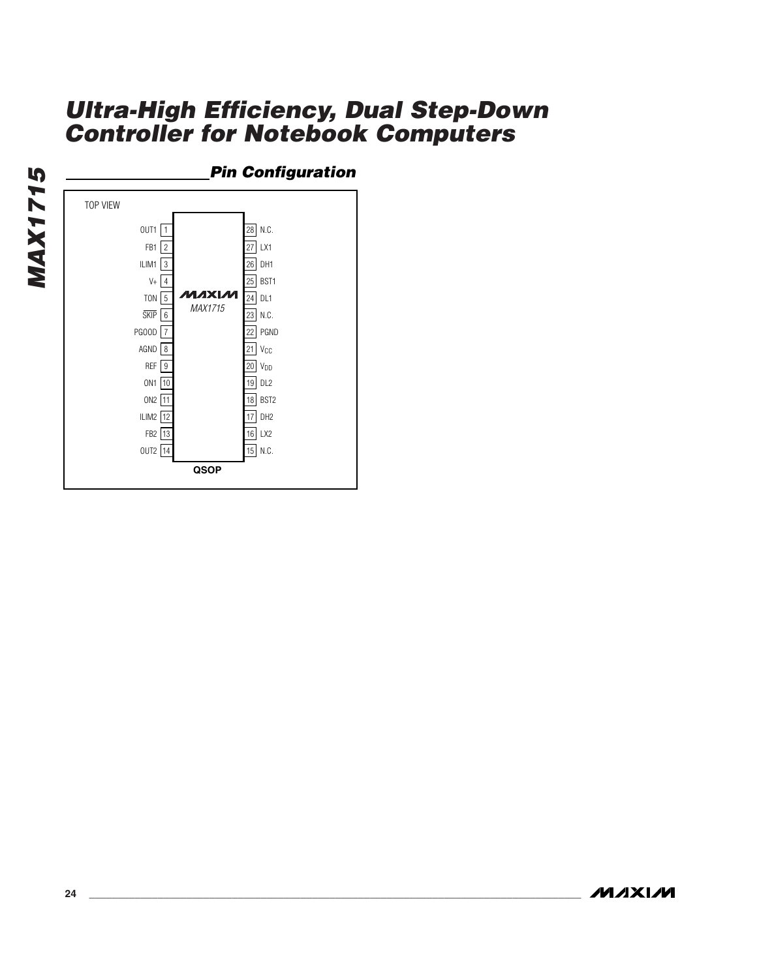